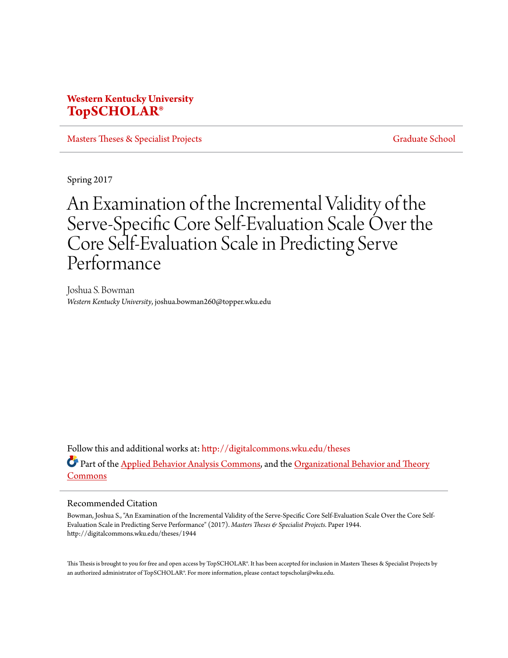### **Western Kentucky University [TopSCHOLAR®](http://digitalcommons.wku.edu?utm_source=digitalcommons.wku.edu%2Ftheses%2F1944&utm_medium=PDF&utm_campaign=PDFCoverPages)**

[Masters Theses & Specialist Projects](http://digitalcommons.wku.edu/theses?utm_source=digitalcommons.wku.edu%2Ftheses%2F1944&utm_medium=PDF&utm_campaign=PDFCoverPages) [Graduate School](http://digitalcommons.wku.edu/Graduate?utm_source=digitalcommons.wku.edu%2Ftheses%2F1944&utm_medium=PDF&utm_campaign=PDFCoverPages)

Spring 2017

# An Examination of the Incremental Validity of the Serve-Specific Core Self-Evaluation Scale Over the Core Self-Evaluation Scale in Predicting Serve Performance

Joshua S. Bowman *Western Kentucky University*, joshua.bowman260@topper.wku.edu

Follow this and additional works at: [http://digitalcommons.wku.edu/theses](http://digitalcommons.wku.edu/theses?utm_source=digitalcommons.wku.edu%2Ftheses%2F1944&utm_medium=PDF&utm_campaign=PDFCoverPages) Part of the [Applied Behavior Analysis Commons](http://network.bepress.com/hgg/discipline/1235?utm_source=digitalcommons.wku.edu%2Ftheses%2F1944&utm_medium=PDF&utm_campaign=PDFCoverPages), and the [Organizational Behavior and Theory](http://network.bepress.com/hgg/discipline/639?utm_source=digitalcommons.wku.edu%2Ftheses%2F1944&utm_medium=PDF&utm_campaign=PDFCoverPages) [Commons](http://network.bepress.com/hgg/discipline/639?utm_source=digitalcommons.wku.edu%2Ftheses%2F1944&utm_medium=PDF&utm_campaign=PDFCoverPages)

#### Recommended Citation

Bowman, Joshua S., "An Examination of the Incremental Validity of the Serve-Specific Core Self-Evaluation Scale Over the Core Self-Evaluation Scale in Predicting Serve Performance" (2017). *Masters Theses & Specialist Projects.* Paper 1944. http://digitalcommons.wku.edu/theses/1944

This Thesis is brought to you for free and open access by TopSCHOLAR®. It has been accepted for inclusion in Masters Theses & Specialist Projects by an authorized administrator of TopSCHOLAR®. For more information, please contact topscholar@wku.edu.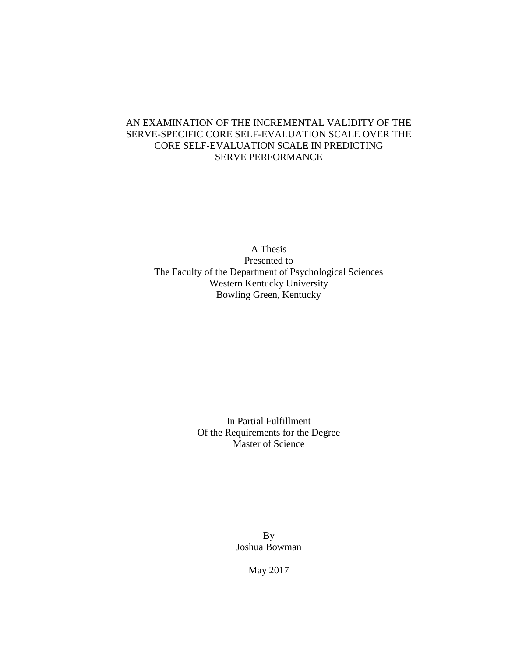### AN EXAMINATION OF THE INCREMENTAL VALIDITY OF THE SERVE-SPECIFIC CORE SELF-EVALUATION SCALE OVER THE CORE SELF-EVALUATION SCALE IN PREDICTING SERVE PERFORMANCE

A Thesis Presented to The Faculty of the Department of Psychological Sciences Western Kentucky University Bowling Green, Kentucky

> In Partial Fulfillment Of the Requirements for the Degree Master of Science

> > By Joshua Bowman

> > > May 2017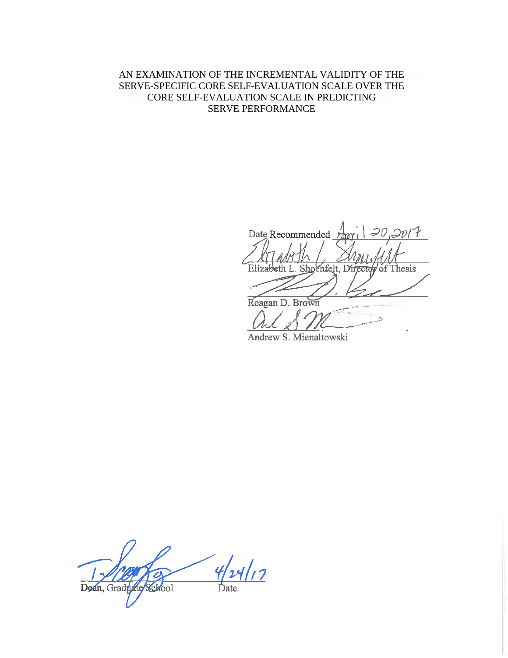### AN EXAMINATION OF THE INCREMENTAL VALIDITY OF THE SERVE-SPECIFIC CORE SELF-EVALUATION SCALE OVER THE CORE SELF-EVALUATION SCALE IN PREDICTING SERVE PERFORMANCE

 $20,20/7$ Date Recommended Elizabeth L. Shoenfelt, Director of Thesis Reagan D. Brown

Andrew S. Mienaltowski

 $4|11|17$ Dean, Graduate School Date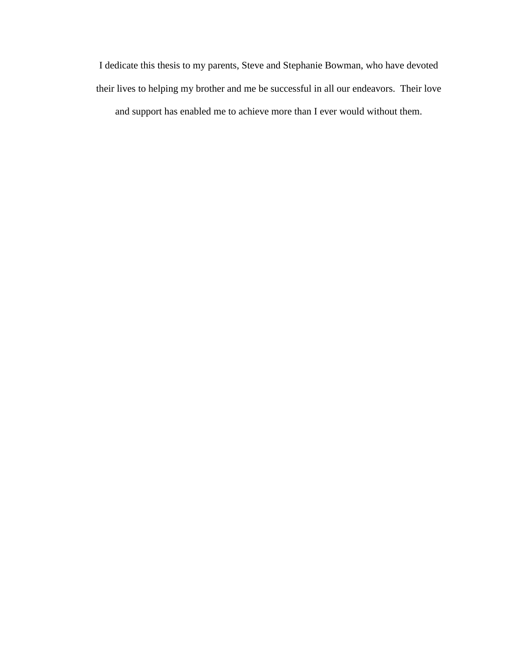I dedicate this thesis to my parents, Steve and Stephanie Bowman, who have devoted their lives to helping my brother and me be successful in all our endeavors. Their love and support has enabled me to achieve more than I ever would without them.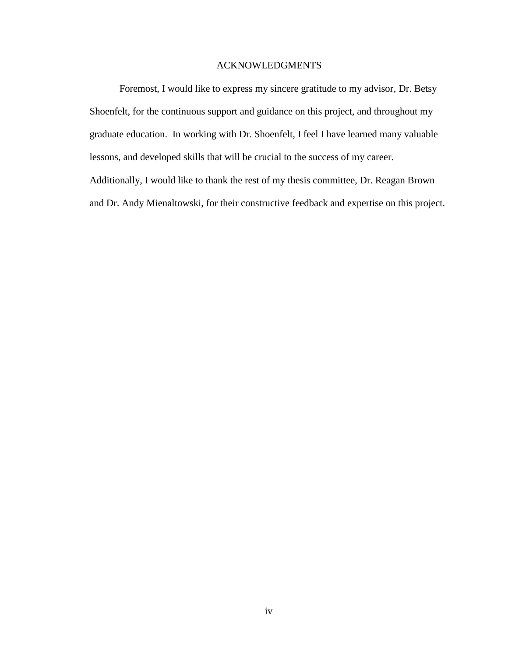### ACKNOWLEDGMENTS

Foremost, I would like to express my sincere gratitude to my advisor, Dr. Betsy Shoenfelt, for the continuous support and guidance on this project, and throughout my graduate education. In working with Dr. Shoenfelt, I feel I have learned many valuable lessons, and developed skills that will be crucial to the success of my career. Additionally, I would like to thank the rest of my thesis committee, Dr. Reagan Brown and Dr. Andy Mienaltowski, for their constructive feedback and expertise on this project.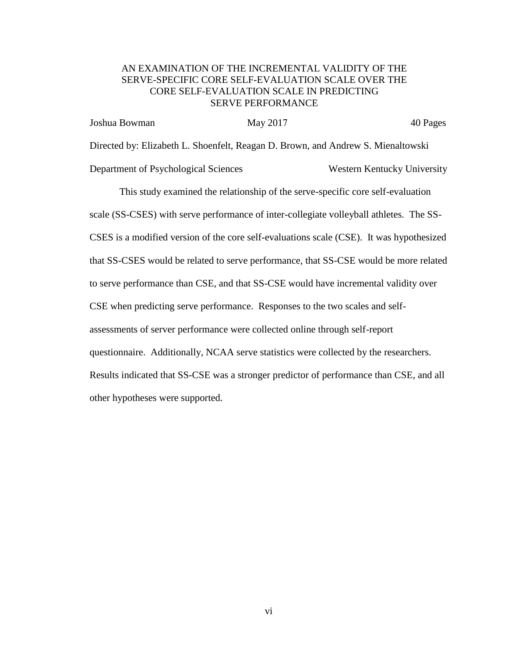### AN EXAMINATION OF THE INCREMENTAL VALIDITY OF THE SERVE-SPECIFIC CORE SELF-EVALUATION SCALE OVER THE CORE SELF-EVALUATION SCALE IN PREDICTING SERVE PERFORMANCE

Joshua Bowman May 2017 40 Pages Directed by: Elizabeth L. Shoenfelt, Reagan D. Brown, and Andrew S. Mienaltowski Department of Psychological Sciences Western Kentucky University

This study examined the relationship of the serve-specific core self-evaluation scale (SS-CSES) with serve performance of inter-collegiate volleyball athletes. The SS-CSES is a modified version of the core self-evaluations scale (CSE). It was hypothesized that SS-CSES would be related to serve performance, that SS-CSE would be more related to serve performance than CSE, and that SS-CSE would have incremental validity over CSE when predicting serve performance. Responses to the two scales and selfassessments of server performance were collected online through self-report questionnaire. Additionally, NCAA serve statistics were collected by the researchers. Results indicated that SS-CSE was a stronger predictor of performance than CSE, and all other hypotheses were supported.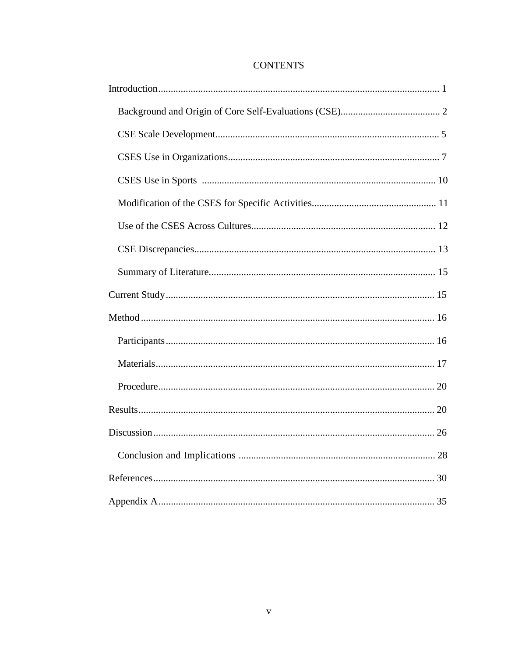### **CONTENTS**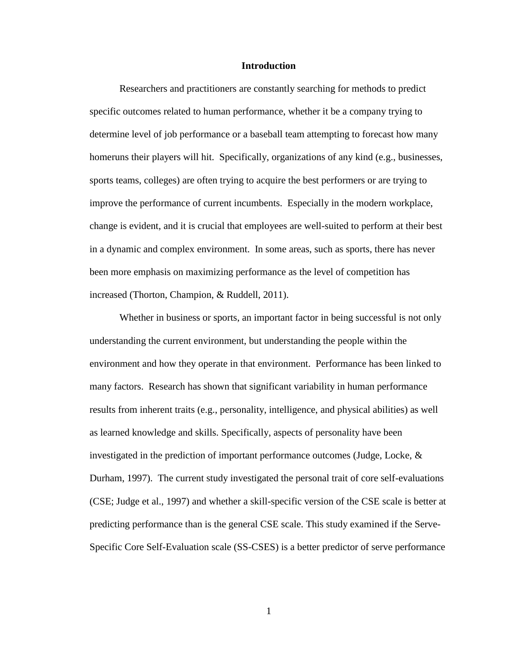#### **Introduction**

Researchers and practitioners are constantly searching for methods to predict specific outcomes related to human performance, whether it be a company trying to determine level of job performance or a baseball team attempting to forecast how many homeruns their players will hit. Specifically, organizations of any kind (e.g., businesses, sports teams, colleges) are often trying to acquire the best performers or are trying to improve the performance of current incumbents. Especially in the modern workplace, change is evident, and it is crucial that employees are well-suited to perform at their best in a dynamic and complex environment. In some areas, such as sports, there has never been more emphasis on maximizing performance as the level of competition has increased (Thorton, Champion, & Ruddell, 2011).

Whether in business or sports, an important factor in being successful is not only understanding the current environment, but understanding the people within the environment and how they operate in that environment. Performance has been linked to many factors. Research has shown that significant variability in human performance results from inherent traits (e.g., personality, intelligence, and physical abilities) as well as learned knowledge and skills. Specifically, aspects of personality have been investigated in the prediction of important performance outcomes (Judge, Locke, & Durham, 1997). The current study investigated the personal trait of core self-evaluations (CSE; Judge et al., 1997) and whether a skill-specific version of the CSE scale is better at predicting performance than is the general CSE scale. This study examined if the Serve-Specific Core Self-Evaluation scale (SS-CSES) is a better predictor of serve performance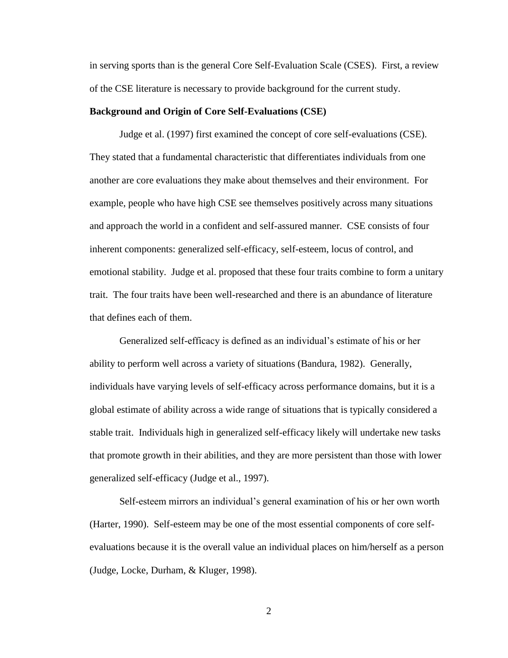in serving sports than is the general Core Self-Evaluation Scale (CSES). First, a review of the CSE literature is necessary to provide background for the current study.

#### **Background and Origin of Core Self-Evaluations (CSE)**

Judge et al. (1997) first examined the concept of core self-evaluations (CSE). They stated that a fundamental characteristic that differentiates individuals from one another are core evaluations they make about themselves and their environment. For example, people who have high CSE see themselves positively across many situations and approach the world in a confident and self-assured manner. CSE consists of four inherent components: generalized self-efficacy, self-esteem, locus of control, and emotional stability. Judge et al. proposed that these four traits combine to form a unitary trait. The four traits have been well-researched and there is an abundance of literature that defines each of them.

Generalized self-efficacy is defined as an individual's estimate of his or her ability to perform well across a variety of situations (Bandura, 1982). Generally, individuals have varying levels of self-efficacy across performance domains, but it is a global estimate of ability across a wide range of situations that is typically considered a stable trait. Individuals high in generalized self-efficacy likely will undertake new tasks that promote growth in their abilities, and they are more persistent than those with lower generalized self-efficacy (Judge et al., 1997).

Self-esteem mirrors an individual's general examination of his or her own worth (Harter, 1990). Self-esteem may be one of the most essential components of core selfevaluations because it is the overall value an individual places on him/herself as a person (Judge, Locke, Durham, & Kluger, 1998).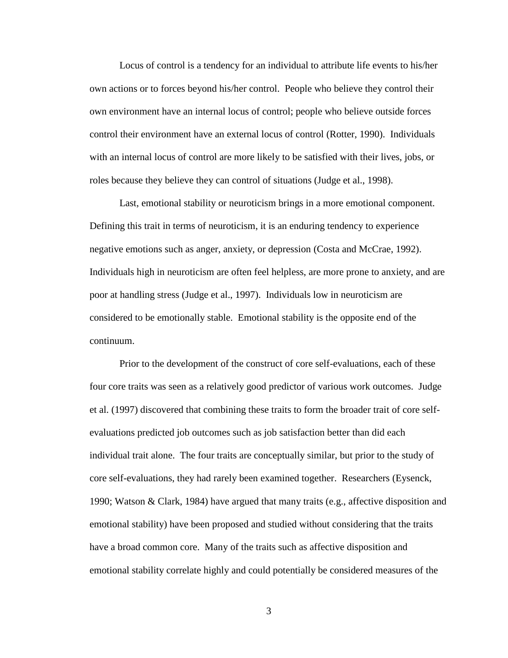Locus of control is a tendency for an individual to attribute life events to his/her own actions or to forces beyond his/her control. People who believe they control their own environment have an internal locus of control; people who believe outside forces control their environment have an external locus of control (Rotter, 1990). Individuals with an internal locus of control are more likely to be satisfied with their lives, jobs, or roles because they believe they can control of situations (Judge et al., 1998).

Last, emotional stability or neuroticism brings in a more emotional component. Defining this trait in terms of neuroticism, it is an enduring tendency to experience negative emotions such as anger, anxiety, or depression (Costa and McCrae, 1992). Individuals high in neuroticism are often feel helpless, are more prone to anxiety, and are poor at handling stress (Judge et al., 1997). Individuals low in neuroticism are considered to be emotionally stable. Emotional stability is the opposite end of the continuum.

Prior to the development of the construct of core self-evaluations, each of these four core traits was seen as a relatively good predictor of various work outcomes. Judge et al. (1997) discovered that combining these traits to form the broader trait of core selfevaluations predicted job outcomes such as job satisfaction better than did each individual trait alone. The four traits are conceptually similar, but prior to the study of core self-evaluations, they had rarely been examined together. Researchers (Eysenck, 1990; Watson & Clark, 1984) have argued that many traits (e.g., affective disposition and emotional stability) have been proposed and studied without considering that the traits have a broad common core. Many of the traits such as affective disposition and emotional stability correlate highly and could potentially be considered measures of the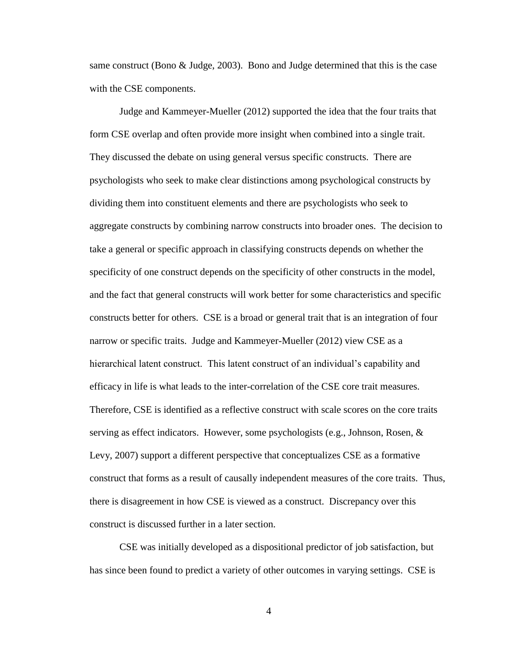same construct (Bono  $\&$  Judge, 2003). Bono and Judge determined that this is the case with the CSE components.

Judge and Kammeyer-Mueller (2012) supported the idea that the four traits that form CSE overlap and often provide more insight when combined into a single trait. They discussed the debate on using general versus specific constructs. There are psychologists who seek to make clear distinctions among psychological constructs by dividing them into constituent elements and there are psychologists who seek to aggregate constructs by combining narrow constructs into broader ones. The decision to take a general or specific approach in classifying constructs depends on whether the specificity of one construct depends on the specificity of other constructs in the model, and the fact that general constructs will work better for some characteristics and specific constructs better for others. CSE is a broad or general trait that is an integration of four narrow or specific traits. Judge and Kammeyer-Mueller (2012) view CSE as a hierarchical latent construct. This latent construct of an individual's capability and efficacy in life is what leads to the inter-correlation of the CSE core trait measures. Therefore, CSE is identified as a reflective construct with scale scores on the core traits serving as effect indicators. However, some psychologists (e.g., Johnson, Rosen, & Levy, 2007) support a different perspective that conceptualizes CSE as a formative construct that forms as a result of causally independent measures of the core traits. Thus, there is disagreement in how CSE is viewed as a construct. Discrepancy over this construct is discussed further in a later section.

CSE was initially developed as a dispositional predictor of job satisfaction, but has since been found to predict a variety of other outcomes in varying settings. CSE is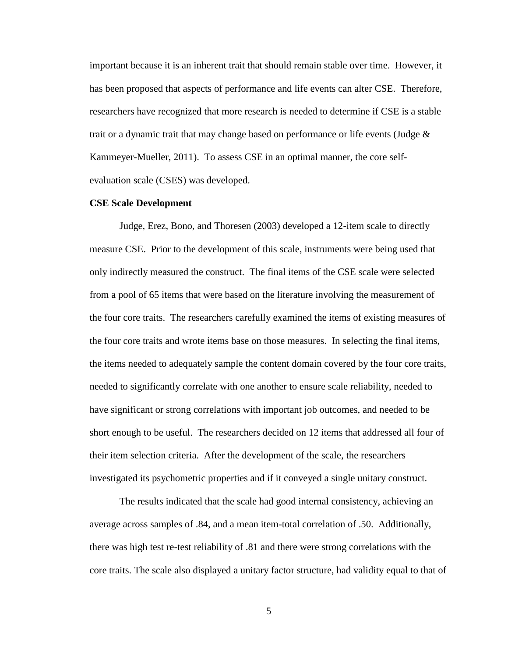important because it is an inherent trait that should remain stable over time. However, it has been proposed that aspects of performance and life events can alter CSE. Therefore, researchers have recognized that more research is needed to determine if CSE is a stable trait or a dynamic trait that may change based on performance or life events (Judge  $\&$ Kammeyer-Mueller, 2011). To assess CSE in an optimal manner, the core selfevaluation scale (CSES) was developed.

#### **CSE Scale Development**

Judge, Erez, Bono, and Thoresen (2003) developed a 12-item scale to directly measure CSE. Prior to the development of this scale, instruments were being used that only indirectly measured the construct. The final items of the CSE scale were selected from a pool of 65 items that were based on the literature involving the measurement of the four core traits. The researchers carefully examined the items of existing measures of the four core traits and wrote items base on those measures. In selecting the final items, the items needed to adequately sample the content domain covered by the four core traits, needed to significantly correlate with one another to ensure scale reliability, needed to have significant or strong correlations with important job outcomes, and needed to be short enough to be useful. The researchers decided on 12 items that addressed all four of their item selection criteria. After the development of the scale, the researchers investigated its psychometric properties and if it conveyed a single unitary construct.

The results indicated that the scale had good internal consistency, achieving an average across samples of .84, and a mean item-total correlation of .50. Additionally, there was high test re-test reliability of .81 and there were strong correlations with the core traits. The scale also displayed a unitary factor structure, had validity equal to that of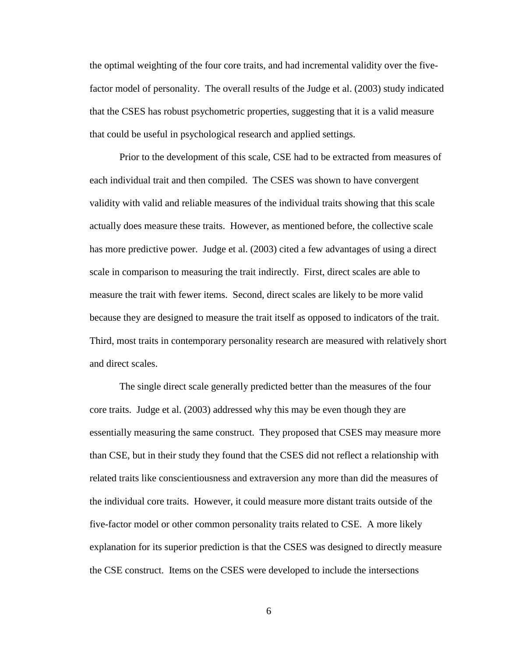the optimal weighting of the four core traits, and had incremental validity over the fivefactor model of personality. The overall results of the Judge et al. (2003) study indicated that the CSES has robust psychometric properties, suggesting that it is a valid measure that could be useful in psychological research and applied settings.

Prior to the development of this scale, CSE had to be extracted from measures of each individual trait and then compiled. The CSES was shown to have convergent validity with valid and reliable measures of the individual traits showing that this scale actually does measure these traits. However, as mentioned before, the collective scale has more predictive power. Judge et al. (2003) cited a few advantages of using a direct scale in comparison to measuring the trait indirectly. First, direct scales are able to measure the trait with fewer items. Second, direct scales are likely to be more valid because they are designed to measure the trait itself as opposed to indicators of the trait. Third, most traits in contemporary personality research are measured with relatively short and direct scales.

The single direct scale generally predicted better than the measures of the four core traits. Judge et al. (2003) addressed why this may be even though they are essentially measuring the same construct. They proposed that CSES may measure more than CSE, but in their study they found that the CSES did not reflect a relationship with related traits like conscientiousness and extraversion any more than did the measures of the individual core traits. However, it could measure more distant traits outside of the five-factor model or other common personality traits related to CSE. A more likely explanation for its superior prediction is that the CSES was designed to directly measure the CSE construct. Items on the CSES were developed to include the intersections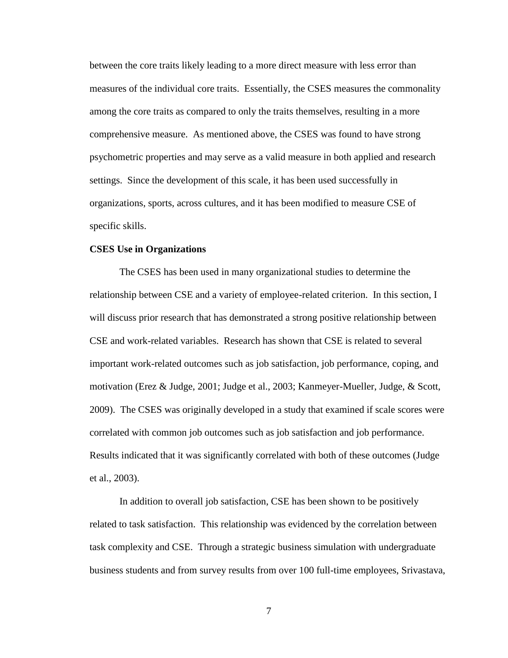between the core traits likely leading to a more direct measure with less error than measures of the individual core traits. Essentially, the CSES measures the commonality among the core traits as compared to only the traits themselves, resulting in a more comprehensive measure. As mentioned above, the CSES was found to have strong psychometric properties and may serve as a valid measure in both applied and research settings. Since the development of this scale, it has been used successfully in organizations, sports, across cultures, and it has been modified to measure CSE of specific skills.

#### **CSES Use in Organizations**

The CSES has been used in many organizational studies to determine the relationship between CSE and a variety of employee-related criterion. In this section, I will discuss prior research that has demonstrated a strong positive relationship between CSE and work-related variables. Research has shown that CSE is related to several important work-related outcomes such as job satisfaction, job performance, coping, and motivation (Erez & Judge, 2001; Judge et al., 2003; Kanmeyer-Mueller, Judge, & Scott, 2009). The CSES was originally developed in a study that examined if scale scores were correlated with common job outcomes such as job satisfaction and job performance. Results indicated that it was significantly correlated with both of these outcomes (Judge et al., 2003).

In addition to overall job satisfaction, CSE has been shown to be positively related to task satisfaction. This relationship was evidenced by the correlation between task complexity and CSE. Through a strategic business simulation with undergraduate business students and from survey results from over 100 full-time employees, Srivastava,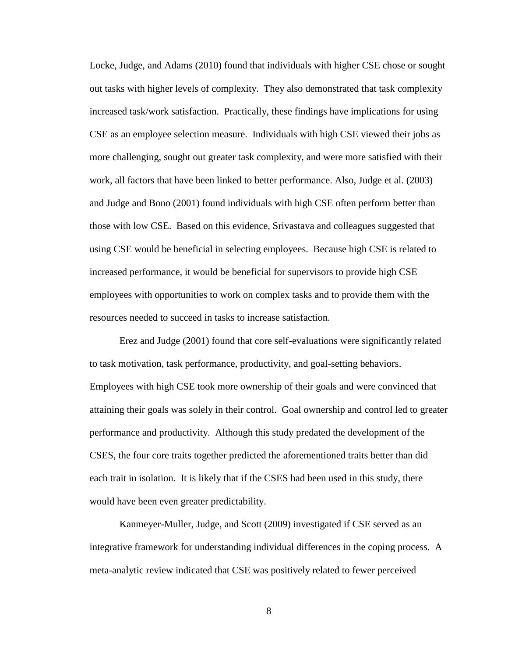Locke, Judge, and Adams (2010) found that individuals with higher CSE chose or sought out tasks with higher levels of complexity. They also demonstrated that task complexity increased task/work satisfaction. Practically, these findings have implications for using CSE as an employee selection measure. Individuals with high CSE viewed their jobs as more challenging, sought out greater task complexity, and were more satisfied with their work, all factors that have been linked to better performance. Also, Judge et al. (2003) and Judge and Bono (2001) found individuals with high CSE often perform better than those with low CSE. Based on this evidence, Srivastava and colleagues suggested that using CSE would be beneficial in selecting employees. Because high CSE is related to increased performance, it would be beneficial for supervisors to provide high CSE employees with opportunities to work on complex tasks and to provide them with the resources needed to succeed in tasks to increase satisfaction.

Erez and Judge (2001) found that core self-evaluations were significantly related to task motivation, task performance, productivity, and goal-setting behaviors. Employees with high CSE took more ownership of their goals and were convinced that attaining their goals was solely in their control. Goal ownership and control led to greater performance and productivity. Although this study predated the development of the CSES, the four core traits together predicted the aforementioned traits better than did each trait in isolation. It is likely that if the CSES had been used in this study, there would have been even greater predictability.

Kanmeyer-Muller, Judge, and Scott (2009) investigated if CSE served as an integrative framework for understanding individual differences in the coping process. A meta-analytic review indicated that CSE was positively related to fewer perceived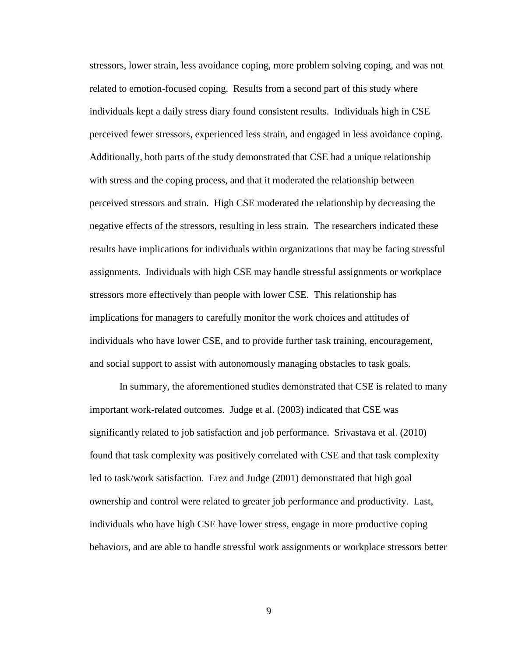stressors, lower strain, less avoidance coping, more problem solving coping, and was not related to emotion-focused coping. Results from a second part of this study where individuals kept a daily stress diary found consistent results. Individuals high in CSE perceived fewer stressors, experienced less strain, and engaged in less avoidance coping. Additionally, both parts of the study demonstrated that CSE had a unique relationship with stress and the coping process, and that it moderated the relationship between perceived stressors and strain. High CSE moderated the relationship by decreasing the negative effects of the stressors, resulting in less strain. The researchers indicated these results have implications for individuals within organizations that may be facing stressful assignments. Individuals with high CSE may handle stressful assignments or workplace stressors more effectively than people with lower CSE. This relationship has implications for managers to carefully monitor the work choices and attitudes of individuals who have lower CSE, and to provide further task training, encouragement, and social support to assist with autonomously managing obstacles to task goals.

In summary, the aforementioned studies demonstrated that CSE is related to many important work-related outcomes. Judge et al. (2003) indicated that CSE was significantly related to job satisfaction and job performance. Srivastava et al. (2010) found that task complexity was positively correlated with CSE and that task complexity led to task/work satisfaction. Erez and Judge (2001) demonstrated that high goal ownership and control were related to greater job performance and productivity. Last, individuals who have high CSE have lower stress, engage in more productive coping behaviors, and are able to handle stressful work assignments or workplace stressors better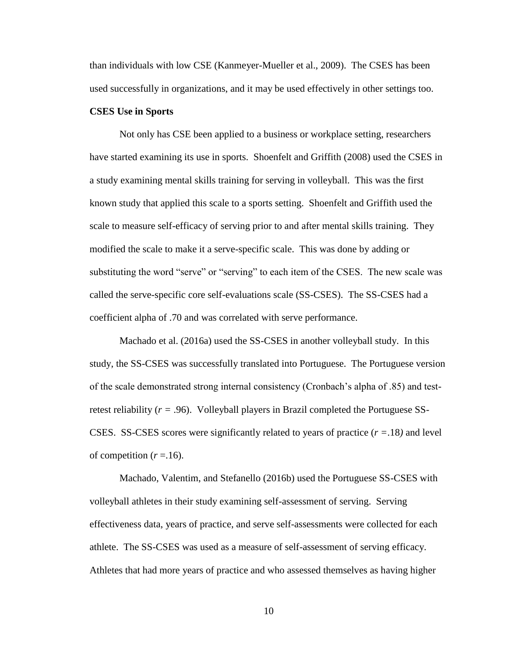than individuals with low CSE (Kanmeyer-Mueller et al., 2009). The CSES has been used successfully in organizations, and it may be used effectively in other settings too.

#### **CSES Use in Sports**

Not only has CSE been applied to a business or workplace setting, researchers have started examining its use in sports. Shoenfelt and Griffith (2008) used the CSES in a study examining mental skills training for serving in volleyball. This was the first known study that applied this scale to a sports setting. Shoenfelt and Griffith used the scale to measure self-efficacy of serving prior to and after mental skills training. They modified the scale to make it a serve-specific scale. This was done by adding or substituting the word "serve" or "serving" to each item of the CSES. The new scale was called the serve-specific core self-evaluations scale (SS-CSES). The SS-CSES had a coefficient alpha of .70 and was correlated with serve performance.

Machado et al. (2016a) used the SS-CSES in another volleyball study. In this study, the SS-CSES was successfully translated into Portuguese. The Portuguese version of the scale demonstrated strong internal consistency (Cronbach's alpha of .85) and testretest reliability (*r =* .96). Volleyball players in Brazil completed the Portuguese SS-CSES. SS-CSES scores were significantly related to years of practice (*r =*.18*)* and level of competition  $(r = .16)$ .

Machado, Valentim, and Stefanello (2016b) used the Portuguese SS-CSES with volleyball athletes in their study examining self-assessment of serving. Serving effectiveness data, years of practice, and serve self-assessments were collected for each athlete. The SS-CSES was used as a measure of self-assessment of serving efficacy. Athletes that had more years of practice and who assessed themselves as having higher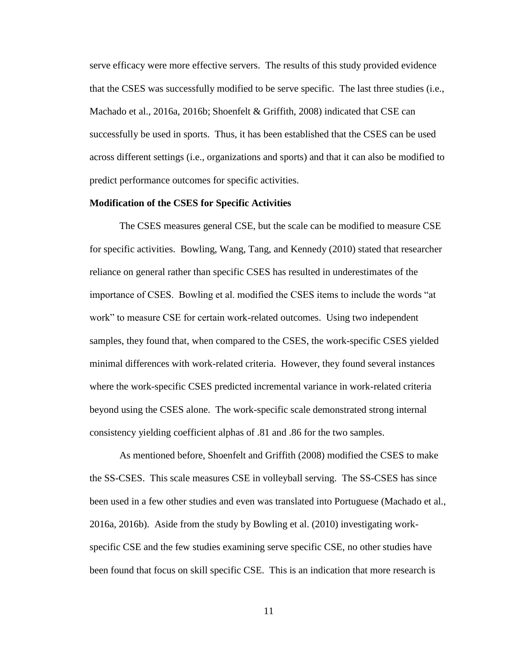serve efficacy were more effective servers. The results of this study provided evidence that the CSES was successfully modified to be serve specific. The last three studies (i.e., Machado et al., 2016a, 2016b; Shoenfelt & Griffith, 2008) indicated that CSE can successfully be used in sports. Thus, it has been established that the CSES can be used across different settings (i.e., organizations and sports) and that it can also be modified to predict performance outcomes for specific activities.

#### **Modification of the CSES for Specific Activities**

The CSES measures general CSE, but the scale can be modified to measure CSE for specific activities. Bowling, Wang, Tang, and Kennedy (2010) stated that researcher reliance on general rather than specific CSES has resulted in underestimates of the importance of CSES. Bowling et al. modified the CSES items to include the words "at work" to measure CSE for certain work-related outcomes. Using two independent samples, they found that, when compared to the CSES, the work-specific CSES yielded minimal differences with work-related criteria. However, they found several instances where the work-specific CSES predicted incremental variance in work-related criteria beyond using the CSES alone. The work-specific scale demonstrated strong internal consistency yielding coefficient alphas of .81 and .86 for the two samples.

As mentioned before, Shoenfelt and Griffith (2008) modified the CSES to make the SS-CSES. This scale measures CSE in volleyball serving. The SS-CSES has since been used in a few other studies and even was translated into Portuguese (Machado et al., 2016a, 2016b). Aside from the study by Bowling et al. (2010) investigating workspecific CSE and the few studies examining serve specific CSE, no other studies have been found that focus on skill specific CSE. This is an indication that more research is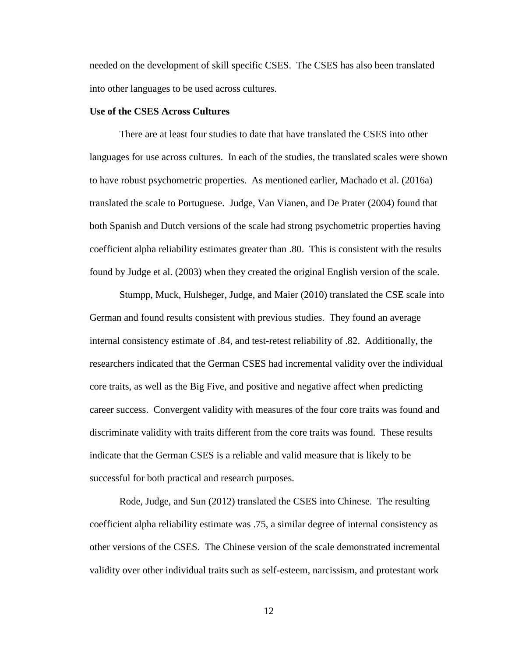needed on the development of skill specific CSES. The CSES has also been translated into other languages to be used across cultures.

#### **Use of the CSES Across Cultures**

There are at least four studies to date that have translated the CSES into other languages for use across cultures. In each of the studies, the translated scales were shown to have robust psychometric properties. As mentioned earlier, Machado et al. (2016a) translated the scale to Portuguese. Judge, Van Vianen, and De Prater (2004) found that both Spanish and Dutch versions of the scale had strong psychometric properties having coefficient alpha reliability estimates greater than .80. This is consistent with the results found by Judge et al. (2003) when they created the original English version of the scale.

Stumpp, Muck, Hulsheger, Judge, and Maier (2010) translated the CSE scale into German and found results consistent with previous studies. They found an average internal consistency estimate of .84, and test-retest reliability of .82. Additionally, the researchers indicated that the German CSES had incremental validity over the individual core traits, as well as the Big Five, and positive and negative affect when predicting career success. Convergent validity with measures of the four core traits was found and discriminate validity with traits different from the core traits was found. These results indicate that the German CSES is a reliable and valid measure that is likely to be successful for both practical and research purposes.

Rode, Judge, and Sun (2012) translated the CSES into Chinese. The resulting coefficient alpha reliability estimate was .75, a similar degree of internal consistency as other versions of the CSES. The Chinese version of the scale demonstrated incremental validity over other individual traits such as self-esteem, narcissism, and protestant work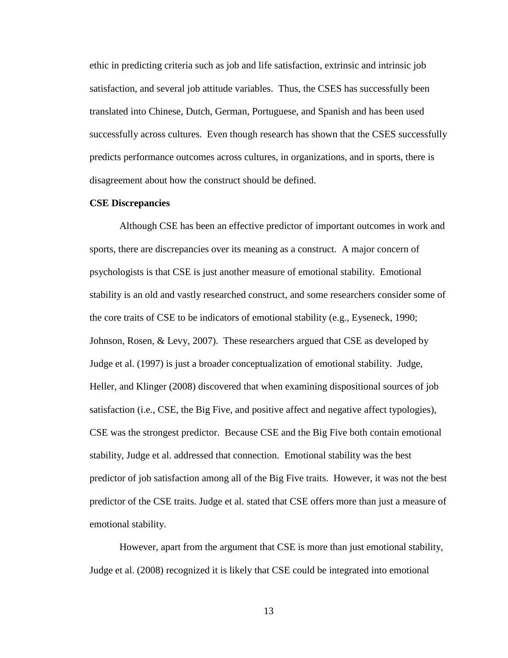ethic in predicting criteria such as job and life satisfaction, extrinsic and intrinsic job satisfaction, and several job attitude variables. Thus, the CSES has successfully been translated into Chinese, Dutch, German, Portuguese, and Spanish and has been used successfully across cultures. Even though research has shown that the CSES successfully predicts performance outcomes across cultures, in organizations, and in sports, there is disagreement about how the construct should be defined.

#### **CSE Discrepancies**

Although CSE has been an effective predictor of important outcomes in work and sports, there are discrepancies over its meaning as a construct. A major concern of psychologists is that CSE is just another measure of emotional stability. Emotional stability is an old and vastly researched construct, and some researchers consider some of the core traits of CSE to be indicators of emotional stability (e.g., Eyseneck, 1990; Johnson, Rosen, & Levy, 2007). These researchers argued that CSE as developed by Judge et al. (1997) is just a broader conceptualization of emotional stability. Judge, Heller, and Klinger (2008) discovered that when examining dispositional sources of job satisfaction (i.e., CSE, the Big Five, and positive affect and negative affect typologies), CSE was the strongest predictor. Because CSE and the Big Five both contain emotional stability, Judge et al. addressed that connection. Emotional stability was the best predictor of job satisfaction among all of the Big Five traits. However, it was not the best predictor of the CSE traits. Judge et al. stated that CSE offers more than just a measure of emotional stability.

However, apart from the argument that CSE is more than just emotional stability, Judge et al. (2008) recognized it is likely that CSE could be integrated into emotional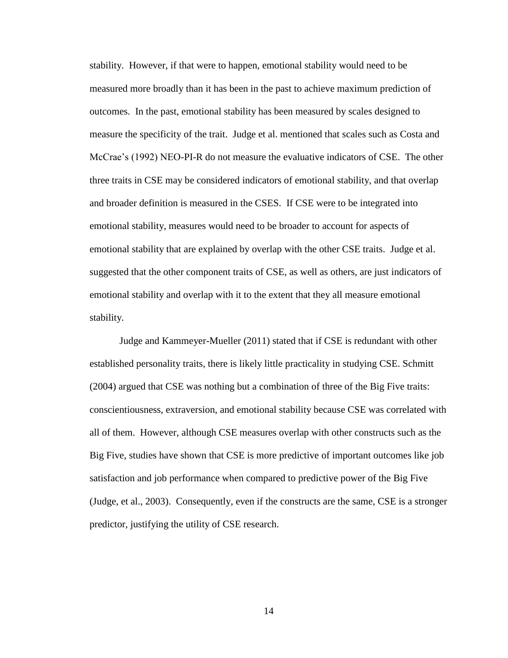stability. However, if that were to happen, emotional stability would need to be measured more broadly than it has been in the past to achieve maximum prediction of outcomes. In the past, emotional stability has been measured by scales designed to measure the specificity of the trait. Judge et al. mentioned that scales such as Costa and McCrae's (1992) NEO-PI-R do not measure the evaluative indicators of CSE. The other three traits in CSE may be considered indicators of emotional stability, and that overlap and broader definition is measured in the CSES. If CSE were to be integrated into emotional stability, measures would need to be broader to account for aspects of emotional stability that are explained by overlap with the other CSE traits. Judge et al. suggested that the other component traits of CSE, as well as others, are just indicators of emotional stability and overlap with it to the extent that they all measure emotional stability.

Judge and Kammeyer-Mueller (2011) stated that if CSE is redundant with other established personality traits, there is likely little practicality in studying CSE. Schmitt (2004) argued that CSE was nothing but a combination of three of the Big Five traits: conscientiousness, extraversion, and emotional stability because CSE was correlated with all of them. However, although CSE measures overlap with other constructs such as the Big Five, studies have shown that CSE is more predictive of important outcomes like job satisfaction and job performance when compared to predictive power of the Big Five (Judge, et al., 2003). Consequently, even if the constructs are the same, CSE is a stronger predictor, justifying the utility of CSE research.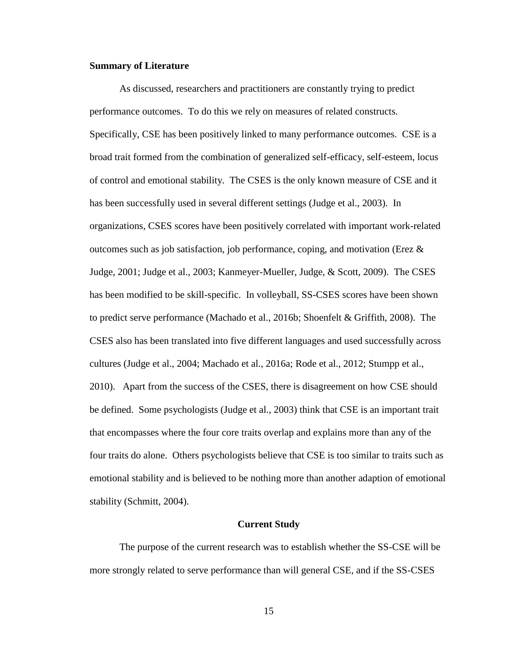#### **Summary of Literature**

As discussed, researchers and practitioners are constantly trying to predict performance outcomes. To do this we rely on measures of related constructs. Specifically, CSE has been positively linked to many performance outcomes. CSE is a broad trait formed from the combination of generalized self-efficacy, self-esteem, locus of control and emotional stability. The CSES is the only known measure of CSE and it has been successfully used in several different settings (Judge et al., 2003). In organizations, CSES scores have been positively correlated with important work-related outcomes such as job satisfaction, job performance, coping, and motivation (Erez  $\&$ Judge, 2001; Judge et al., 2003; Kanmeyer-Mueller, Judge, & Scott, 2009). The CSES has been modified to be skill-specific. In volleyball, SS-CSES scores have been shown to predict serve performance (Machado et al., 2016b; Shoenfelt & Griffith, 2008). The CSES also has been translated into five different languages and used successfully across cultures (Judge et al., 2004; Machado et al., 2016a; Rode et al., 2012; Stumpp et al., 2010). Apart from the success of the CSES, there is disagreement on how CSE should be defined. Some psychologists (Judge et al., 2003) think that CSE is an important trait that encompasses where the four core traits overlap and explains more than any of the four traits do alone. Others psychologists believe that CSE is too similar to traits such as emotional stability and is believed to be nothing more than another adaption of emotional stability (Schmitt, 2004).

#### **Current Study**

The purpose of the current research was to establish whether the SS-CSE will be more strongly related to serve performance than will general CSE, and if the SS-CSES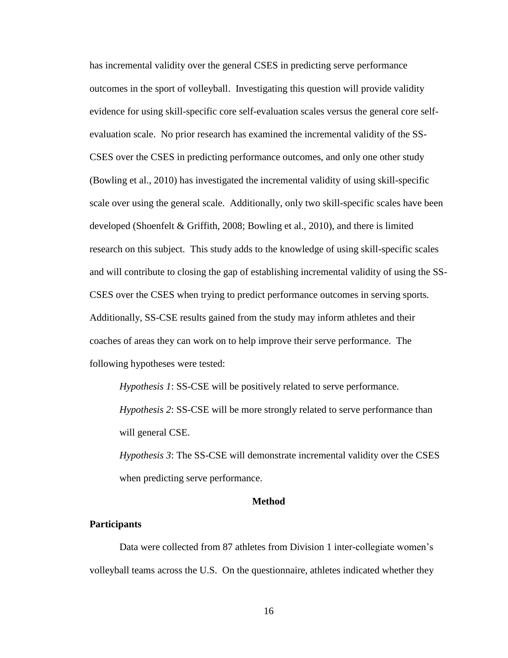has incremental validity over the general CSES in predicting serve performance outcomes in the sport of volleyball. Investigating this question will provide validity evidence for using skill-specific core self-evaluation scales versus the general core selfevaluation scale. No prior research has examined the incremental validity of the SS-CSES over the CSES in predicting performance outcomes, and only one other study (Bowling et al., 2010) has investigated the incremental validity of using skill-specific scale over using the general scale. Additionally, only two skill-specific scales have been developed (Shoenfelt & Griffith, 2008; Bowling et al., 2010), and there is limited research on this subject. This study adds to the knowledge of using skill-specific scales and will contribute to closing the gap of establishing incremental validity of using the SS-CSES over the CSES when trying to predict performance outcomes in serving sports. Additionally, SS-CSE results gained from the study may inform athletes and their coaches of areas they can work on to help improve their serve performance. The following hypotheses were tested:

*Hypothesis 1*: SS-CSE will be positively related to serve performance. *Hypothesis 2*: SS-CSE will be more strongly related to serve performance than will general CSE.

*Hypothesis 3*: The SS-CSE will demonstrate incremental validity over the CSES when predicting serve performance.

#### **Method**

#### **Participants**

Data were collected from 87 athletes from Division 1 inter-collegiate women's volleyball teams across the U.S. On the questionnaire, athletes indicated whether they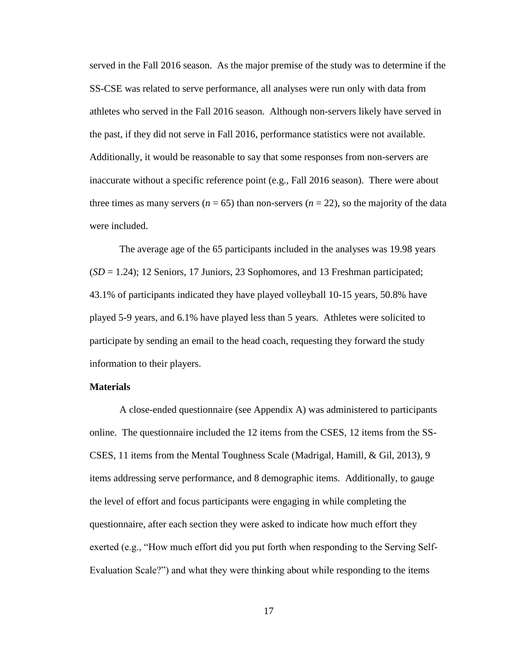served in the Fall 2016 season. As the major premise of the study was to determine if the SS-CSE was related to serve performance, all analyses were run only with data from athletes who served in the Fall 2016 season. Although non-servers likely have served in the past, if they did not serve in Fall 2016, performance statistics were not available. Additionally, it would be reasonable to say that some responses from non-servers are inaccurate without a specific reference point (e.g., Fall 2016 season). There were about three times as many servers ( $n = 65$ ) than non-servers ( $n = 22$ ), so the majority of the data were included.

The average age of the 65 participants included in the analyses was 19.98 years  $(SD = 1.24)$ ; 12 Seniors, 17 Juniors, 23 Sophomores, and 13 Freshman participated; 43.1% of participants indicated they have played volleyball 10-15 years, 50.8% have played 5-9 years, and 6.1% have played less than 5 years. Athletes were solicited to participate by sending an email to the head coach, requesting they forward the study information to their players.

#### **Materials**

A close-ended questionnaire (see Appendix A) was administered to participants online. The questionnaire included the 12 items from the CSES, 12 items from the SS-CSES, 11 items from the Mental Toughness Scale (Madrigal, Hamill, & Gil, 2013), 9 items addressing serve performance, and 8 demographic items. Additionally, to gauge the level of effort and focus participants were engaging in while completing the questionnaire, after each section they were asked to indicate how much effort they exerted (e.g., "How much effort did you put forth when responding to the Serving Self-Evaluation Scale?") and what they were thinking about while responding to the items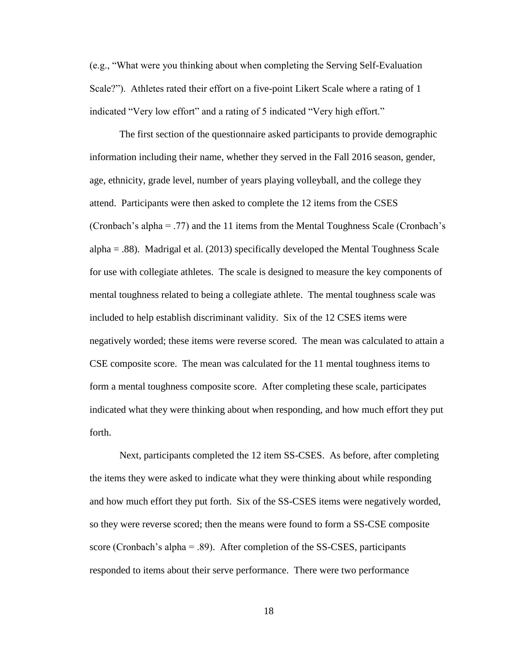(e.g., "What were you thinking about when completing the Serving Self-Evaluation Scale?"). Athletes rated their effort on a five-point Likert Scale where a rating of 1 indicated "Very low effort" and a rating of 5 indicated "Very high effort."

The first section of the questionnaire asked participants to provide demographic information including their name, whether they served in the Fall 2016 season, gender, age, ethnicity, grade level, number of years playing volleyball, and the college they attend. Participants were then asked to complete the 12 items from the CSES (Cronbach's alpha = .77) and the 11 items from the Mental Toughness Scale (Cronbach's alpha = .88). Madrigal et al. (2013) specifically developed the Mental Toughness Scale for use with collegiate athletes. The scale is designed to measure the key components of mental toughness related to being a collegiate athlete. The mental toughness scale was included to help establish discriminant validity. Six of the 12 CSES items were negatively worded; these items were reverse scored. The mean was calculated to attain a CSE composite score. The mean was calculated for the 11 mental toughness items to form a mental toughness composite score. After completing these scale, participates indicated what they were thinking about when responding, and how much effort they put forth.

 Next, participants completed the 12 item SS-CSES. As before, after completing the items they were asked to indicate what they were thinking about while responding and how much effort they put forth. Six of the SS-CSES items were negatively worded, so they were reverse scored; then the means were found to form a SS-CSE composite score (Cronbach's alpha  $=$  .89). After completion of the SS-CSES, participants responded to items about their serve performance. There were two performance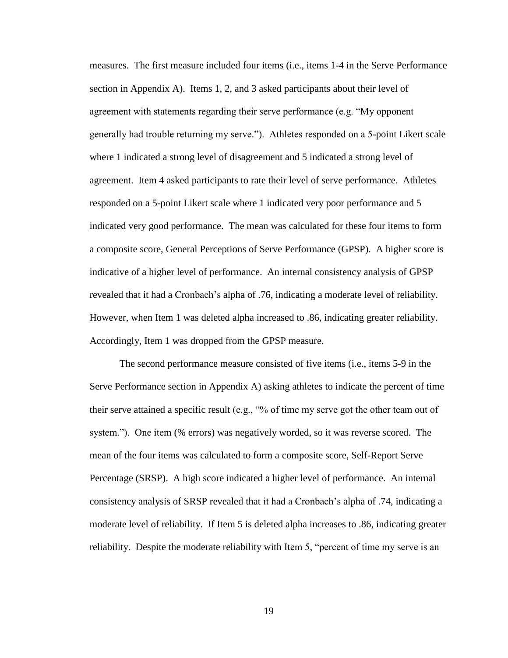measures. The first measure included four items (i.e., items 1-4 in the Serve Performance section in Appendix A). Items 1, 2, and 3 asked participants about their level of agreement with statements regarding their serve performance (e.g. "My opponent generally had trouble returning my serve."). Athletes responded on a 5-point Likert scale where 1 indicated a strong level of disagreement and 5 indicated a strong level of agreement. Item 4 asked participants to rate their level of serve performance. Athletes responded on a 5-point Likert scale where 1 indicated very poor performance and 5 indicated very good performance. The mean was calculated for these four items to form a composite score, General Perceptions of Serve Performance (GPSP). A higher score is indicative of a higher level of performance. An internal consistency analysis of GPSP revealed that it had a Cronbach's alpha of .76, indicating a moderate level of reliability. However, when Item 1 was deleted alpha increased to .86, indicating greater reliability. Accordingly, Item 1 was dropped from the GPSP measure.

The second performance measure consisted of five items (i.e., items 5-9 in the Serve Performance section in Appendix A) asking athletes to indicate the percent of time their serve attained a specific result (e.g., "% of time my serve got the other team out of system."). One item (% errors) was negatively worded, so it was reverse scored. The mean of the four items was calculated to form a composite score, Self-Report Serve Percentage (SRSP). A high score indicated a higher level of performance. An internal consistency analysis of SRSP revealed that it had a Cronbach's alpha of .74, indicating a moderate level of reliability. If Item 5 is deleted alpha increases to .86, indicating greater reliability. Despite the moderate reliability with Item 5, "percent of time my serve is an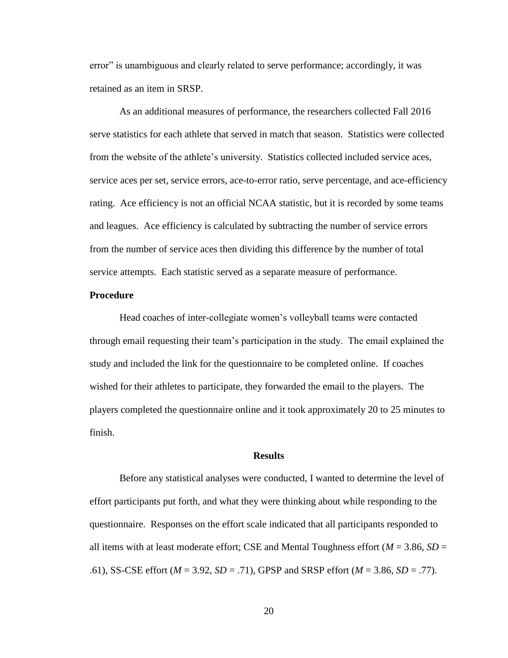error" is unambiguous and clearly related to serve performance; accordingly, it was retained as an item in SRSP.

As an additional measures of performance, the researchers collected Fall 2016 serve statistics for each athlete that served in match that season. Statistics were collected from the website of the athlete's university. Statistics collected included service aces, service aces per set, service errors, ace-to-error ratio, serve percentage, and ace-efficiency rating. Ace efficiency is not an official NCAA statistic, but it is recorded by some teams and leagues. Ace efficiency is calculated by subtracting the number of service errors from the number of service aces then dividing this difference by the number of total service attempts. Each statistic served as a separate measure of performance.

#### **Procedure**

Head coaches of inter-collegiate women's volleyball teams were contacted through email requesting their team's participation in the study. The email explained the study and included the link for the questionnaire to be completed online. If coaches wished for their athletes to participate, they forwarded the email to the players. The players completed the questionnaire online and it took approximately 20 to 25 minutes to finish.

#### **Results**

Before any statistical analyses were conducted, I wanted to determine the level of effort participants put forth, and what they were thinking about while responding to the questionnaire. Responses on the effort scale indicated that all participants responded to all items with at least moderate effort; CSE and Mental Toughness effort  $(M = 3.86, SD =$ .61), SS-CSE effort (*M* = 3.92, *SD* = .71), GPSP and SRSP effort (*M* = 3.86, *SD* = .77).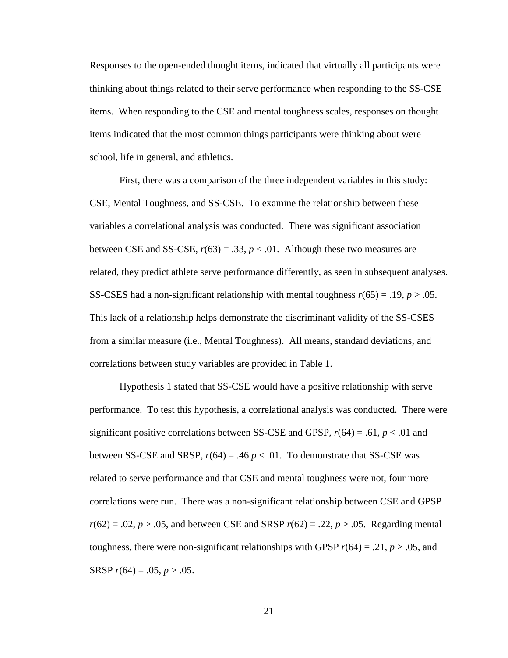Responses to the open-ended thought items, indicated that virtually all participants were thinking about things related to their serve performance when responding to the SS-CSE items. When responding to the CSE and mental toughness scales, responses on thought items indicated that the most common things participants were thinking about were school, life in general, and athletics.

First, there was a comparison of the three independent variables in this study: CSE, Mental Toughness, and SS-CSE. To examine the relationship between these variables a correlational analysis was conducted. There was significant association between CSE and SS-CSE,  $r(63) = .33$ ,  $p < .01$ . Although these two measures are related, they predict athlete serve performance differently, as seen in subsequent analyses. SS-CSES had a non-significant relationship with mental toughness *r*(65) = .19, *p* > .05. This lack of a relationship helps demonstrate the discriminant validity of the SS-CSES from a similar measure (i.e., Mental Toughness). All means, standard deviations, and correlations between study variables are provided in Table 1.

Hypothesis 1 stated that SS-CSE would have a positive relationship with serve performance. To test this hypothesis, a correlational analysis was conducted. There were significant positive correlations between SS-CSE and GPSP,  $r(64) = .61$ ,  $p < .01$  and between SS-CSE and SRSP,  $r(64) = .46 p < .01$ . To demonstrate that SS-CSE was related to serve performance and that CSE and mental toughness were not, four more correlations were run. There was a non-significant relationship between CSE and GPSP *r*(62) = .02, *p* > .05, and between CSE and SRSP *r*(62) = .22, *p* > .05. Regarding mental toughness, there were non-significant relationships with GPSP  $r(64) = .21$ ,  $p > .05$ , and SRSP  $r(64) = .05, p > .05.$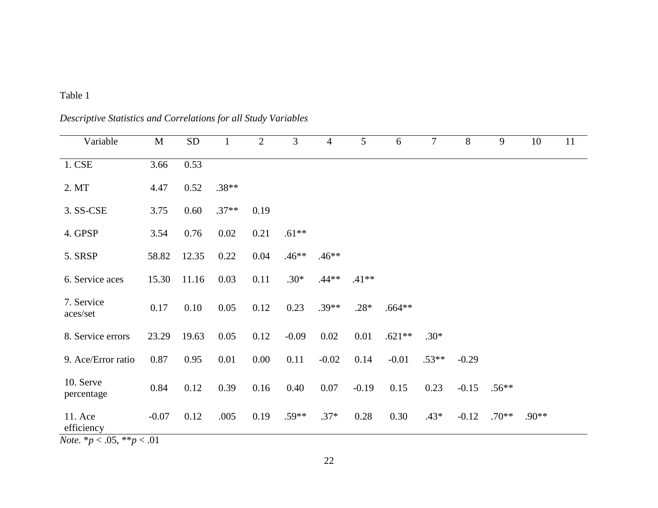### Table 1

| Variable                                                         | $\mathbf M$ | SD    | $\mathbf{1}$ | $\overline{2}$ | 3       | $\overline{4}$ | $5\overline{)}$ | 6        | $\tau$  | 8       | 9       | 10      | 11 |
|------------------------------------------------------------------|-------------|-------|--------------|----------------|---------|----------------|-----------------|----------|---------|---------|---------|---------|----|
| 1. CSE                                                           | 3.66        | 0.53  |              |                |         |                |                 |          |         |         |         |         |    |
| 2. MT                                                            | 4.47        | 0.52  | $.38**$      |                |         |                |                 |          |         |         |         |         |    |
| 3. SS-CSE                                                        | 3.75        | 0.60  | $.37**$      | 0.19           |         |                |                 |          |         |         |         |         |    |
| 4. GPSP                                                          | 3.54        | 0.76  | 0.02         | 0.21           | $.61**$ |                |                 |          |         |         |         |         |    |
| 5. SRSP                                                          | 58.82       | 12.35 | 0.22         | 0.04           | $.46**$ | $.46**$        |                 |          |         |         |         |         |    |
| 6. Service aces                                                  | 15.30       | 11.16 | 0.03         | 0.11           | $.30*$  | $.44**$        | $.41**$         |          |         |         |         |         |    |
| 7. Service<br>aces/set                                           | 0.17        | 0.10  | 0.05         | 0.12           | 0.23    | $.39**$        | $.28*$          | $.664**$ |         |         |         |         |    |
| 8. Service errors                                                | 23.29       | 19.63 | 0.05         | 0.12           | $-0.09$ | 0.02           | 0.01            | $.621**$ | $.30*$  |         |         |         |    |
| 9. Ace/Error ratio                                               | 0.87        | 0.95  | 0.01         | $0.00\,$       | 0.11    | $-0.02$        | 0.14            | $-0.01$  | $.53**$ | $-0.29$ |         |         |    |
| 10. Serve<br>percentage                                          | 0.84        | 0.12  | 0.39         | 0.16           | 0.40    | 0.07           | $-0.19$         | 0.15     | 0.23    | $-0.15$ | $.56**$ |         |    |
| 11. Ace<br>efficiency<br>$N_{\alpha}$ *n $\geq$ 05 **n $\geq$ 01 | $-0.07$     | 0.12  | .005         | 0.19           | $.59**$ | $.37*$         | 0.28            | 0.30     | $.43*$  | $-0.12$ | $.70**$ | $.90**$ |    |

*Descriptive Statistics and Correlations for all Study Variables*

*Note.* \**p* < .05, \*\**p* < .01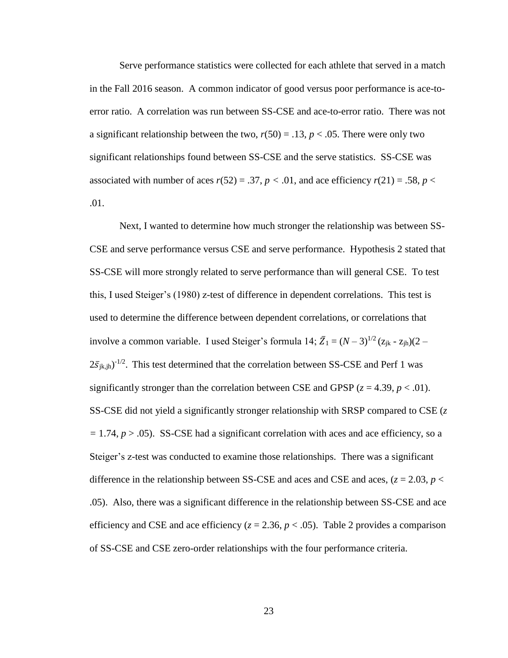Serve performance statistics were collected for each athlete that served in a match in the Fall 2016 season. A common indicator of good versus poor performance is ace-toerror ratio. A correlation was run between SS-CSE and ace-to-error ratio. There was not a significant relationship between the two,  $r(50) = .13$ ,  $p < .05$ . There were only two significant relationships found between SS-CSE and the serve statistics. SS-CSE was associated with number of aces  $r(52) = .37$ ,  $p < .01$ , and ace efficiency  $r(21) = .58$ ,  $p <$ .01.

Next, I wanted to determine how much stronger the relationship was between SS-CSE and serve performance versus CSE and serve performance. Hypothesis 2 stated that SS-CSE will more strongly related to serve performance than will general CSE. To test this, I used Steiger's (1980) z-test of difference in dependent correlations. This test is used to determine the difference between dependent correlations, or correlations that involve a common variable. I used Steiger's formula 14;  $\bar{Z}_1 = (N-3)^{1/2} (z_{ik} - z_{ih})(2 2\bar{s}_{jk,jh}$ )<sup>-1/2</sup>. This test determined that the correlation between SS-CSE and Perf 1 was significantly stronger than the correlation between CSE and GPSP  $(z = 4.39, p < .01)$ . SS-CSE did not yield a significantly stronger relationship with SRSP compared to CSE (*z =* 1.74, *p* > .05). SS-CSE had a significant correlation with aces and ace efficiency, so a Steiger's z-test was conducted to examine those relationships. There was a significant difference in the relationship between SS-CSE and aces and CSE and aces,  $(z = 2.03, p <$ .05). Also, there was a significant difference in the relationship between SS-CSE and ace efficiency and CSE and ace efficiency  $(z = 2.36, p < .05)$ . Table 2 provides a comparison of SS-CSE and CSE zero-order relationships with the four performance criteria.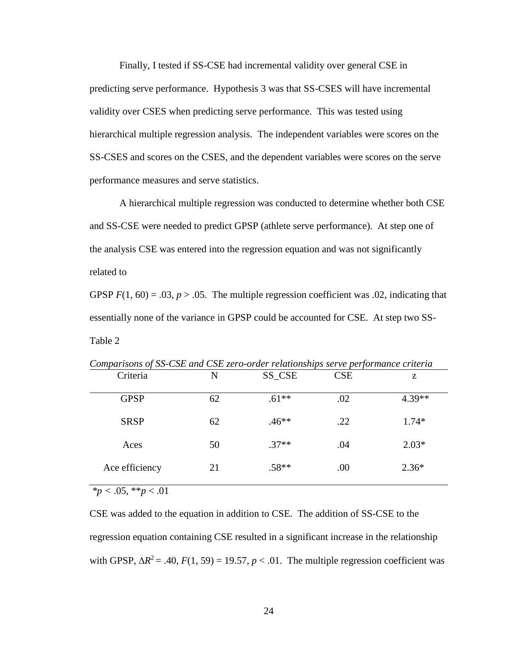Finally, I tested if SS-CSE had incremental validity over general CSE in predicting serve performance. Hypothesis 3 was that SS-CSES will have incremental validity over CSES when predicting serve performance. This was tested using hierarchical multiple regression analysis. The independent variables were scores on the SS-CSES and scores on the CSES, and the dependent variables were scores on the serve performance measures and serve statistics.

A hierarchical multiple regression was conducted to determine whether both CSE and SS-CSE were needed to predict GPSP (athlete serve performance). At step one of the analysis CSE was entered into the regression equation and was not significantly related to

GPSP  $F(1, 60) = .03$ ,  $p > .05$ . The multiple regression coefficient was .02, indicating that essentially none of the variance in GPSP could be accounted for CSE. At step two SS-Table 2

| comparisons of sp coll and coll $\zeta$ ero order retailensings serve performance eracitat |    |         |            |          |
|--------------------------------------------------------------------------------------------|----|---------|------------|----------|
| Criteria                                                                                   | N  | SS_CSE  | <b>CSE</b> | Z        |
| <b>GPSP</b>                                                                                | 62 | $.61**$ | .02        | $4.39**$ |
| <b>SRSP</b>                                                                                | 62 | $.46**$ | .22        | $1.74*$  |
| Aces                                                                                       | 50 | $.37**$ | .04        | $2.03*$  |
| Ace efficiency                                                                             | 21 | $.58**$ | .00        | $2.36*$  |

*Comparisons of SS-CSE and CSE zero-order relationships serve performance criteria*

*\*p <* .05, \*\**p* < .01

CSE was added to the equation in addition to CSE. The addition of SS-CSE to the regression equation containing CSE resulted in a significant increase in the relationship with GPSP,  $\Delta R^2 = .40$ ,  $F(1, 59) = 19.57$ ,  $p < .01$ . The multiple regression coefficient was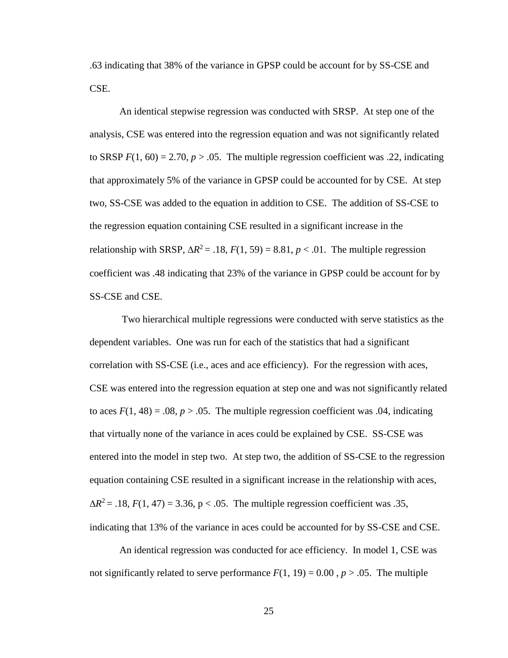.63 indicating that 38% of the variance in GPSP could be account for by SS-CSE and CSE.

An identical stepwise regression was conducted with SRSP. At step one of the analysis, CSE was entered into the regression equation and was not significantly related to SRSP  $F(1, 60) = 2.70$ ,  $p > .05$ . The multiple regression coefficient was .22, indicating that approximately 5% of the variance in GPSP could be accounted for by CSE. At step two, SS-CSE was added to the equation in addition to CSE. The addition of SS-CSE to the regression equation containing CSE resulted in a significant increase in the relationship with SRSP,  $\Delta R^2 = .18$ ,  $F(1, 59) = 8.81$ ,  $p < .01$ . The multiple regression coefficient was .48 indicating that 23% of the variance in GPSP could be account for by SS-CSE and CSE.

Two hierarchical multiple regressions were conducted with serve statistics as the dependent variables. One was run for each of the statistics that had a significant correlation with SS-CSE (i.e., aces and ace efficiency). For the regression with aces, CSE was entered into the regression equation at step one and was not significantly related to aces  $F(1, 48) = .08$ ,  $p > .05$ . The multiple regression coefficient was 0.04, indicating that virtually none of the variance in aces could be explained by CSE. SS-CSE was entered into the model in step two. At step two, the addition of SS-CSE to the regression equation containing CSE resulted in a significant increase in the relationship with aces,  $\Delta R^2$  = .18, *F*(1, 47) = 3.36, p < .05. The multiple regression coefficient was .35, indicating that 13% of the variance in aces could be accounted for by SS-CSE and CSE.

An identical regression was conducted for ace efficiency. In model 1, CSE was not significantly related to serve performance  $F(1, 19) = 0.00$ ,  $p > .05$ . The multiple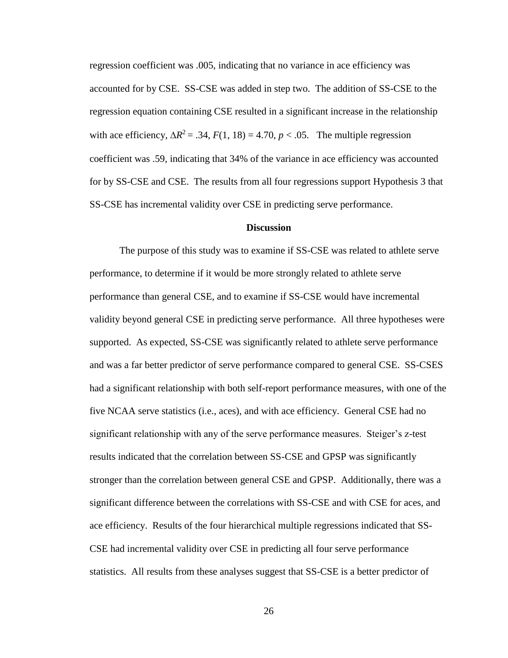regression coefficient was .005, indicating that no variance in ace efficiency was accounted for by CSE. SS-CSE was added in step two. The addition of SS-CSE to the regression equation containing CSE resulted in a significant increase in the relationship with ace efficiency,  $\Delta R^2 = .34$ ,  $F(1, 18) = 4.70$ ,  $p < .05$ . The multiple regression coefficient was .59, indicating that 34% of the variance in ace efficiency was accounted for by SS-CSE and CSE. The results from all four regressions support Hypothesis 3 that SS-CSE has incremental validity over CSE in predicting serve performance.

#### **Discussion**

The purpose of this study was to examine if SS-CSE was related to athlete serve performance, to determine if it would be more strongly related to athlete serve performance than general CSE, and to examine if SS-CSE would have incremental validity beyond general CSE in predicting serve performance. All three hypotheses were supported. As expected, SS-CSE was significantly related to athlete serve performance and was a far better predictor of serve performance compared to general CSE. SS-CSES had a significant relationship with both self-report performance measures, with one of the five NCAA serve statistics (i.e., aces), and with ace efficiency. General CSE had no significant relationship with any of the serve performance measures. Steiger's z-test results indicated that the correlation between SS-CSE and GPSP was significantly stronger than the correlation between general CSE and GPSP. Additionally, there was a significant difference between the correlations with SS-CSE and with CSE for aces, and ace efficiency. Results of the four hierarchical multiple regressions indicated that SS-CSE had incremental validity over CSE in predicting all four serve performance statistics. All results from these analyses suggest that SS-CSE is a better predictor of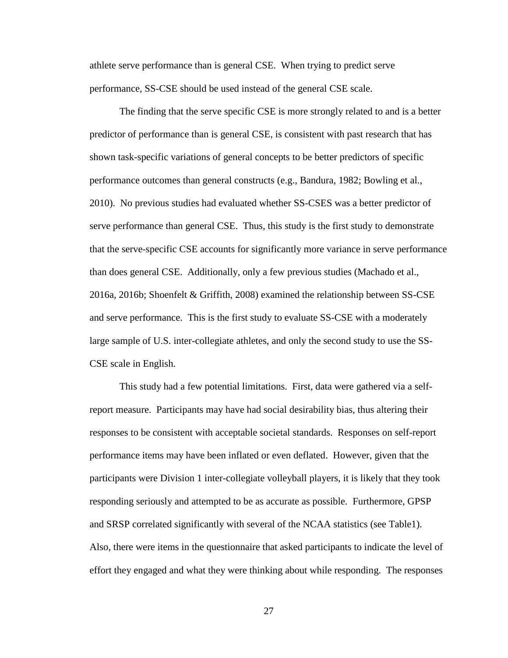athlete serve performance than is general CSE. When trying to predict serve performance, SS-CSE should be used instead of the general CSE scale.

The finding that the serve specific CSE is more strongly related to and is a better predictor of performance than is general CSE, is consistent with past research that has shown task-specific variations of general concepts to be better predictors of specific performance outcomes than general constructs (e.g., Bandura, 1982; Bowling et al., 2010). No previous studies had evaluated whether SS-CSES was a better predictor of serve performance than general CSE. Thus, this study is the first study to demonstrate that the serve-specific CSE accounts for significantly more variance in serve performance than does general CSE. Additionally, only a few previous studies (Machado et al., 2016a, 2016b; Shoenfelt & Griffith, 2008) examined the relationship between SS-CSE and serve performance. This is the first study to evaluate SS-CSE with a moderately large sample of U.S. inter-collegiate athletes, and only the second study to use the SS-CSE scale in English.

This study had a few potential limitations. First, data were gathered via a selfreport measure. Participants may have had social desirability bias, thus altering their responses to be consistent with acceptable societal standards. Responses on self-report performance items may have been inflated or even deflated. However, given that the participants were Division 1 inter-collegiate volleyball players, it is likely that they took responding seriously and attempted to be as accurate as possible. Furthermore, GPSP and SRSP correlated significantly with several of the NCAA statistics (see Table1). Also, there were items in the questionnaire that asked participants to indicate the level of effort they engaged and what they were thinking about while responding. The responses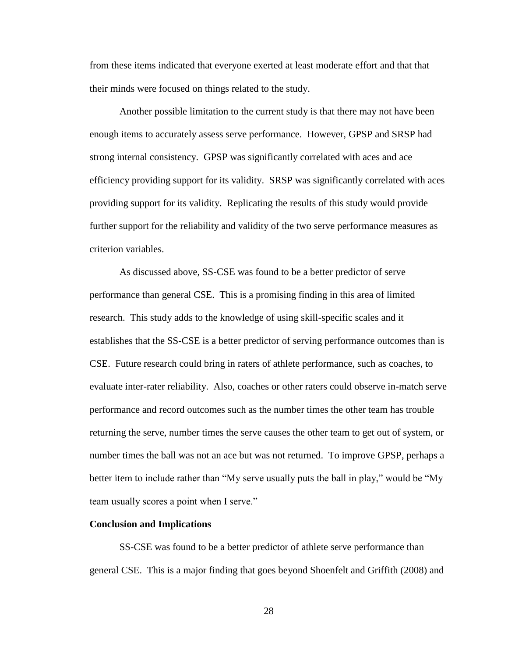from these items indicated that everyone exerted at least moderate effort and that that their minds were focused on things related to the study.

Another possible limitation to the current study is that there may not have been enough items to accurately assess serve performance. However, GPSP and SRSP had strong internal consistency. GPSP was significantly correlated with aces and ace efficiency providing support for its validity. SRSP was significantly correlated with aces providing support for its validity. Replicating the results of this study would provide further support for the reliability and validity of the two serve performance measures as criterion variables.

As discussed above, SS-CSE was found to be a better predictor of serve performance than general CSE. This is a promising finding in this area of limited research. This study adds to the knowledge of using skill-specific scales and it establishes that the SS-CSE is a better predictor of serving performance outcomes than is CSE. Future research could bring in raters of athlete performance, such as coaches, to evaluate inter-rater reliability. Also, coaches or other raters could observe in-match serve performance and record outcomes such as the number times the other team has trouble returning the serve, number times the serve causes the other team to get out of system, or number times the ball was not an ace but was not returned. To improve GPSP, perhaps a better item to include rather than "My serve usually puts the ball in play," would be "My team usually scores a point when I serve."

#### **Conclusion and Implications**

SS-CSE was found to be a better predictor of athlete serve performance than general CSE. This is a major finding that goes beyond Shoenfelt and Griffith (2008) and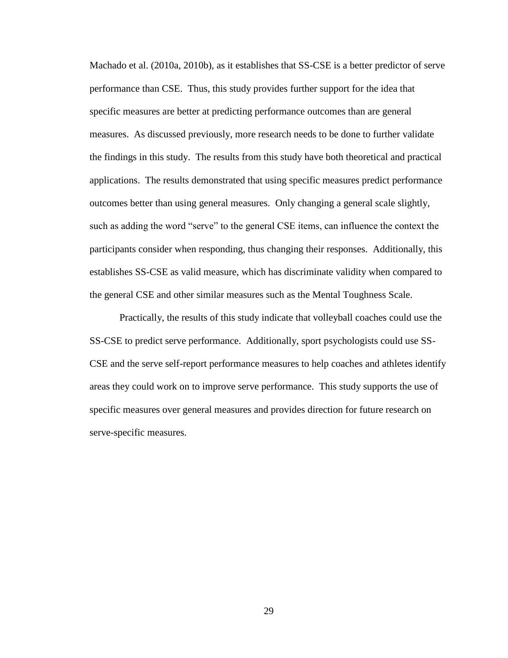Machado et al. (2010a, 2010b), as it establishes that SS-CSE is a better predictor of serve performance than CSE. Thus, this study provides further support for the idea that specific measures are better at predicting performance outcomes than are general measures. As discussed previously, more research needs to be done to further validate the findings in this study. The results from this study have both theoretical and practical applications. The results demonstrated that using specific measures predict performance outcomes better than using general measures. Only changing a general scale slightly, such as adding the word "serve" to the general CSE items, can influence the context the participants consider when responding, thus changing their responses. Additionally, this establishes SS-CSE as valid measure, which has discriminate validity when compared to the general CSE and other similar measures such as the Mental Toughness Scale.

Practically, the results of this study indicate that volleyball coaches could use the SS-CSE to predict serve performance. Additionally, sport psychologists could use SS-CSE and the serve self-report performance measures to help coaches and athletes identify areas they could work on to improve serve performance. This study supports the use of specific measures over general measures and provides direction for future research on serve-specific measures.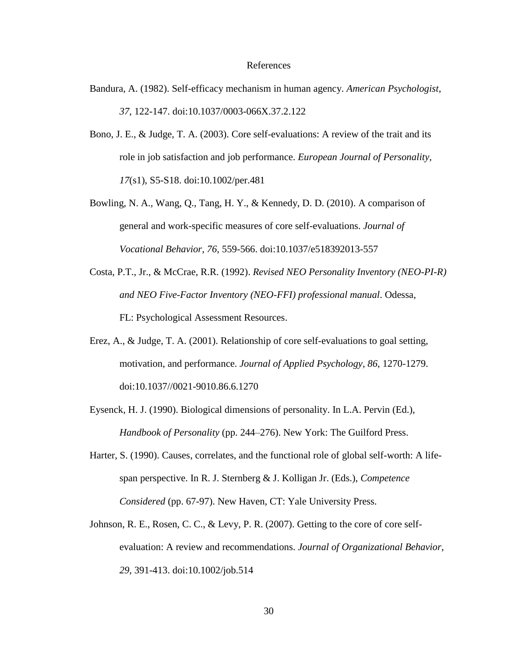#### References

- Bandura, A. (1982). Self-efficacy mechanism in human agency. *American Psychologist*, *37*, 122-147. doi:10.1037/0003-066X.37.2.122
- Bono, J. E., & Judge, T. A. (2003). Core self-evaluations: A review of the trait and its role in job satisfaction and job performance. *European Journal of Personality, 17*(s1), S5-S18. doi:10.1002/per.481
- Bowling, N. A., Wang, Q., Tang, H. Y., & Kennedy, D. D. (2010). A comparison of general and work-specific measures of core self-evaluations. *Journal of Vocational Behavior, 76,* 559-566. doi:10.1037/e518392013-557
- Costa, P.T., Jr., & McCrae, R.R. (1992). *Revised NEO Personality Inventory (NEO-PI-R) and NEO Five-Factor Inventory (NEO-FFI) professional manual*. Odessa, FL: Psychological Assessment Resources.
- Erez, A., & Judge, T. A. (2001). Relationship of core self-evaluations to goal setting, motivation, and performance. *Journal of Applied Psychology*, *86*, 1270-1279. doi:10.1037//0021-9010.86.6.1270
- Eysenck, H. J. (1990). Biological dimensions of personality. In L.A. Pervin (Ed.), *Handbook of Personality* (pp. 244–276). New York: The Guilford Press.
- Harter, S. (1990). Causes, correlates, and the functional role of global self-worth: A lifespan perspective. In R. J. Sternberg & J. Kolligan Jr. (Eds.), *Competence Considered* (pp. 67-97). New Haven, CT: Yale University Press.
- Johnson, R. E., Rosen, C. C., & Levy, P. R. (2007). Getting to the core of core selfevaluation: A review and recommendations. *Journal of Organizational Behavior*, *29*, 391-413. doi:10.1002/job.514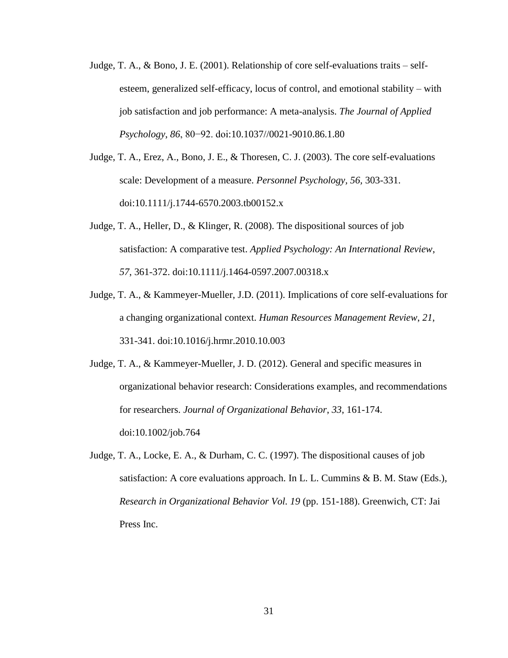- Judge, T. A., & Bono, J. E. (2001). Relationship of core self-evaluations traits selfesteem, generalized self-efficacy, locus of control, and emotional stability – with job satisfaction and job performance: A meta-analysis. *The Journal of Applied Psychology*, *86*, 80−92. doi:10.1037//0021-9010.86.1.80
- Judge, T. A., Erez, A., Bono, J. E., & Thoresen, C. J. (2003). The core self-evaluations scale: Development of a measure. *Personnel Psychology, 56,* 303-331. doi:10.1111/j.1744-6570.2003.tb00152.x
- Judge, T. A., Heller, D., & Klinger, R. (2008). The dispositional sources of job satisfaction: A comparative test. *Applied Psychology: An International Review*, *57*, 361-372. doi:10.1111/j.1464-0597.2007.00318.x
- Judge, T. A., & Kammeyer-Mueller, J.D. (2011). Implications of core self-evaluations for a changing organizational context. *Human Resources Management Review*, *21*, 331-341. doi:10.1016/j.hrmr.2010.10.003

Judge, T. A., & Kammeyer-Mueller, J. D. (2012). General and specific measures in organizational behavior research: Considerations examples, and recommendations for researchers. *Journal of Organizational Behavior*, *33*, 161-174. doi:10.1002/job.764

Judge, T. A., Locke, E. A., & Durham, C. C. (1997). The dispositional causes of job satisfaction: A core evaluations approach. In L. L. Cummins & B. M. Staw (Eds.), *Research in Organizational Behavior Vol. 19* (pp. 151-188). Greenwich, CT: Jai Press Inc.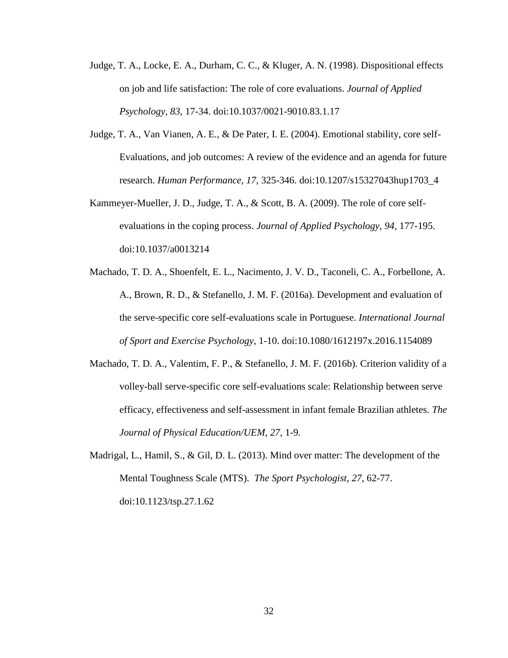- Judge, T. A., Locke, E. A., Durham, C. C., & Kluger, A. N. (1998). Dispositional effects on job and life satisfaction: The role of core evaluations. *Journal of Applied Psychology, 83*, 17-34. doi:10.1037/0021-9010.83.1.17
- Judge, T. A., Van Vianen, A. E., & De Pater, I. E. (2004). Emotional stability, core self-Evaluations, and job outcomes: A review of the evidence and an agenda for future research. *Human Performance, 17,* 325-346. doi:10.1207/s15327043hup1703\_4
- Kammeyer-Mueller, J. D., Judge, T. A., & Scott, B. A. (2009). The role of core selfevaluations in the coping process. *Journal of Applied Psychology*, *94*, 177-195. doi:10.1037/a0013214
- Machado, T. D. A., Shoenfelt, E. L., Nacimento, J. V. D., Taconeli, C. A., Forbellone, A. A., Brown, R. D., & Stefanello, J. M. F. (2016a). Development and evaluation of the serve-specific core self-evaluations scale in Portuguese. *International Journal of Sport and Exercise Psychology,* 1-10. doi:10.1080/1612197x.2016.1154089
- Machado, T. D. A., Valentim, F. P., & Stefanello, J. M. F. (2016b). Criterion validity of a volley-ball serve-specific core self-evaluations scale: Relationship between serve efficacy, effectiveness and self-assessment in infant female Brazilian athletes. *The Journal of Physical Education/UEM, 27,* 1-9*.*
- Madrigal, L., Hamil, S., & Gil, D. L. (2013). Mind over matter: The development of the Mental Toughness Scale (MTS). *The Sport Psychologist*, *27*, 62-77. doi:10.1123/tsp.27.1.62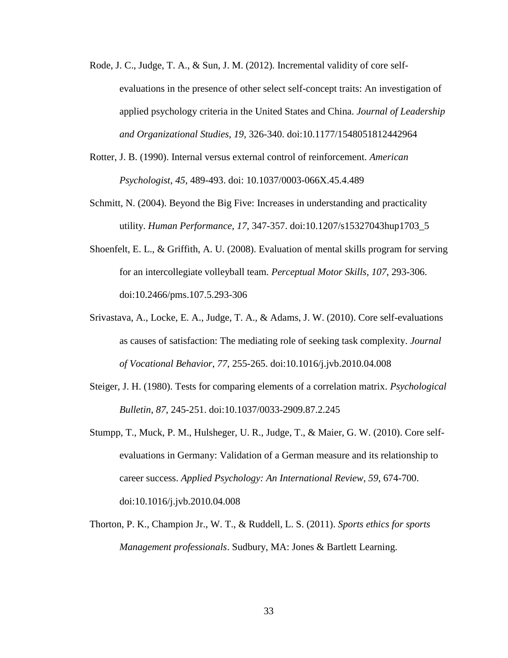- Rode, J. C., Judge, T. A., & Sun, J. M. (2012). Incremental validity of core selfevaluations in the presence of other select self-concept traits: An investigation of applied psychology criteria in the United States and China. *Journal of Leadership and Organizational Studies, 19,* 326-340. doi:10.1177/1548051812442964
- Rotter, J. B. (1990). Internal versus external control of reinforcement. *American Psychologist*, *45*, 489-493. doi: 10.1037/0003-066X.45.4.489
- Schmitt, N. (2004). Beyond the Big Five: Increases in understanding and practicality utility. *Human Performance*, *17*, 347-357. doi:10.1207/s15327043hup1703\_5
- Shoenfelt, E. L., & Griffith, A. U. (2008). Evaluation of mental skills program for serving for an intercollegiate volleyball team. *Perceptual Motor Skills*, *107*, 293-306. doi:10.2466/pms.107.5.293-306
- Srivastava, A., Locke, E. A., Judge, T. A., & Adams, J. W. (2010). Core self-evaluations as causes of satisfaction: The mediating role of seeking task complexity. *Journal of Vocational Behavior*, *77*, 255-265. doi:10.1016/j.jvb.2010.04.008
- Steiger, J. H. (1980). Tests for comparing elements of a correlation matrix. *Psychological Bulletin*, *87*, 245-251. doi:10.1037/0033-2909.87.2.245
- Stumpp, T., Muck, P. M., Hulsheger, U. R., Judge, T., & Maier, G. W. (2010). Core selfevaluations in Germany: Validation of a German measure and its relationship to career success. *Applied Psychology: An International Review, 59,* 674-700. doi:10.1016/j.jvb.2010.04.008
- Thorton, P. K., Champion Jr., W. T., & Ruddell, L. S. (2011). *Sports ethics for sports Management professionals*. Sudbury, MA: Jones & Bartlett Learning.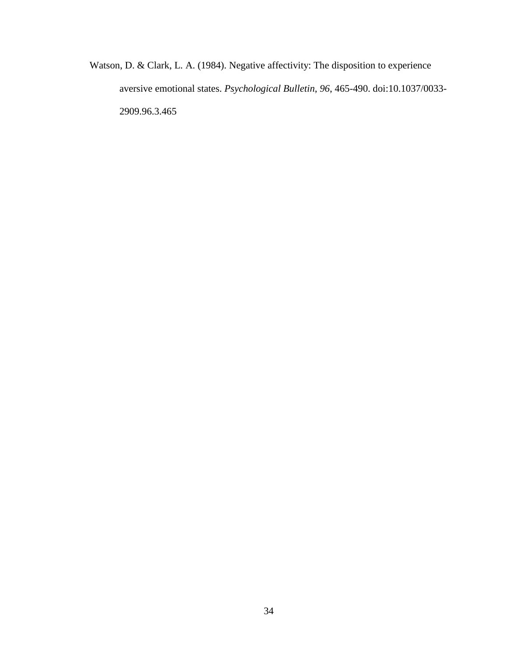Watson, D. & Clark, L. A. (1984). Negative affectivity: The disposition to experience aversive emotional states. *Psychological Bulletin*, *96*, 465-490. doi:10.1037/0033- 2909.96.3.465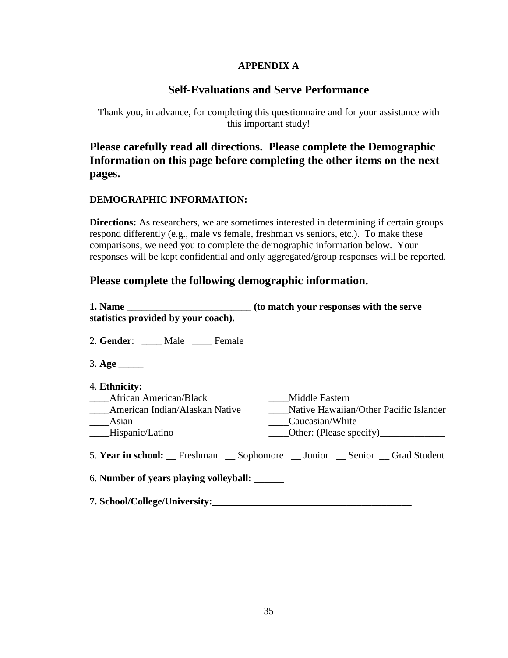### **APPENDIX A**

### **Self-Evaluations and Serve Performance**

Thank you, in advance, for completing this questionnaire and for your assistance with this important study!

**Please carefully read all directions. Please complete the Demographic Information on this page before completing the other items on the next pages.**

### **DEMOGRAPHIC INFORMATION:**

**Directions:** As researchers, we are sometimes interested in determining if certain groups respond differently (e.g., male vs female, freshman vs seniors, etc.). To make these comparisons, we need you to complete the demographic information below. Your responses will be kept confidential and only aggregated/group responses will be reported.

### **Please complete the following demographic information.**

| statistics provided by your coach).                                                                          | (to match your responses with the serve                                                                |
|--------------------------------------------------------------------------------------------------------------|--------------------------------------------------------------------------------------------------------|
| 2. Gender: Male Female                                                                                       |                                                                                                        |
| $3. \text{Age}$                                                                                              |                                                                                                        |
| 4. Ethnicity:<br>____African American/Black<br>American Indian/Alaskan Native<br>Asian<br>___Hispanic/Latino | Middle Eastern<br>Native Hawaiian/Other Pacific Islander<br>Caucasian/White<br>Other: (Please specify) |
|                                                                                                              | 5. Year in school: Freshman Sophomore _ Junior Senior Grad Student                                     |
| 6. Number of years playing volleyball:                                                                       |                                                                                                        |
| 7. School/College/University:                                                                                |                                                                                                        |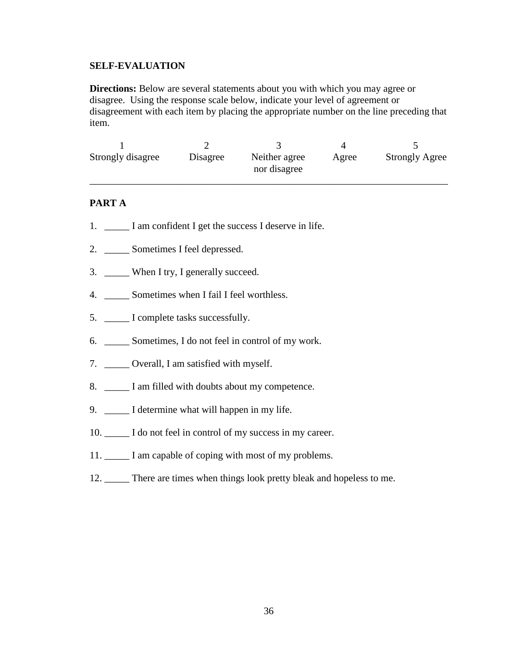### **SELF-EVALUATION**

**Directions:** Below are several statements about you with which you may agree or disagree. Using the response scale below, indicate your level of agreement or disagreement with each item by placing the appropriate number on the line preceding that item.

| Strongly disagree | Disagree | Neither agree<br>nor disagree | Agree | <b>Strongly Agree</b> |
|-------------------|----------|-------------------------------|-------|-----------------------|

### **PART A**

- 1. \_\_\_\_\_\_\_ I am confident I get the success I deserve in life.
- 2. \_\_\_\_\_ Sometimes I feel depressed.
- 3. \_\_\_\_\_ When I try, I generally succeed.
- 4. \_\_\_\_\_ Sometimes when I fail I feel worthless.
- 5. \_\_\_\_\_ I complete tasks successfully.
- 6. \_\_\_\_\_ Sometimes, I do not feel in control of my work.
- 7. \_\_\_\_\_ Overall, I am satisfied with myself.
- 8. \_\_\_\_\_\_ I am filled with doubts about my competence.
- 9. \_\_\_\_\_\_ I determine what will happen in my life.
- 10.  $\Box$  I do not feel in control of my success in my career.
- 11. \_\_\_\_\_ I am capable of coping with most of my problems.
- 12. \_\_\_\_\_ There are times when things look pretty bleak and hopeless to me.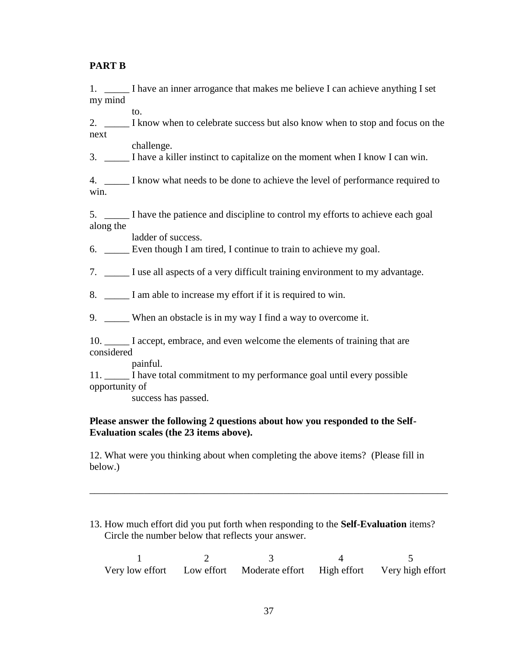### **PART B**

1. I have an inner arrogance that makes me believe I can achieve anything I set my mind

2. \_\_\_\_\_ I know when to celebrate success but also know when to stop and focus on the next

challenge.

to.

3. \_\_\_\_\_ I have a killer instinct to capitalize on the moment when I know I can win.

4. \_\_\_\_\_ I know what needs to be done to achieve the level of performance required to win.

5. \_\_\_\_\_ I have the patience and discipline to control my efforts to achieve each goal along the

ladder of success.

6. Even though I am tired, I continue to train to achieve my goal.

7. \_\_\_\_\_ I use all aspects of a very difficult training environment to my advantage.

8. \_\_\_\_\_ I am able to increase my effort if it is required to win.

9. When an obstacle is in my way I find a way to overcome it.

10. \_\_\_\_\_ I accept, embrace, and even welcome the elements of training that are considered

painful.

11. \_\_\_\_\_ I have total commitment to my performance goal until every possible opportunity of

success has passed.

### **Please answer the following 2 questions about how you responded to the Self-Evaluation scales (the 23 items above).**

12. What were you thinking about when completing the above items? (Please fill in below.)

### 13. How much effort did you put forth when responding to the **Self-Evaluation** items? Circle the number below that reflects your answer.

\_\_\_\_\_\_\_\_\_\_\_\_\_\_\_\_\_\_\_\_\_\_\_\_\_\_\_\_\_\_\_\_\_\_\_\_\_\_\_\_\_\_\_\_\_\_\_\_\_\_\_\_\_\_\_\_\_\_\_\_\_\_\_\_\_\_\_\_\_\_\_\_

|  | Very low effort Low effort Moderate effort High effort Very high effort |  |
|--|-------------------------------------------------------------------------|--|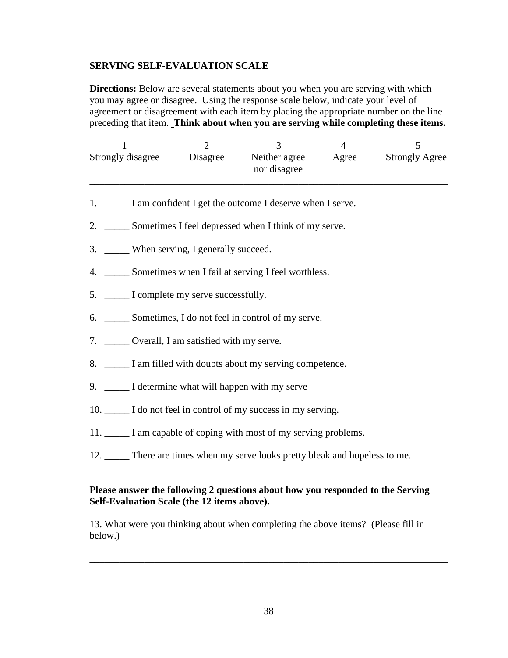### **SERVING SELF-EVALUATION SCALE**

**Directions:** Below are several statements about you when you are serving with which you may agree or disagree. Using the response scale below, indicate your level of agreement or disagreement with each item by placing the appropriate number on the line preceding that item. **Think about when you are serving while completing these items.** 

| Strongly disagree | Disagree | Neither agree<br>nor disagree | Agree | <b>Strongly Agree</b> |
|-------------------|----------|-------------------------------|-------|-----------------------|

- 1. I am confident I get the outcome I deserve when I serve.
- 2. \_\_\_\_\_\_\_ Sometimes I feel depressed when I think of my serve.
- 3. \_\_\_\_\_ When serving, I generally succeed.
- 4. \_\_\_\_\_ Sometimes when I fail at serving I feel worthless.
- 5.  $\Box$  I complete my serve successfully.
- 6. \_\_\_\_\_ Sometimes, I do not feel in control of my serve.
- 7. \_\_\_\_\_\_ Overall, I am satisfied with my serve.
- 8. \_\_\_\_\_ I am filled with doubts about my serving competence.
- 9. \_\_\_\_\_ I determine what will happen with my serve
- 10.  $\Box$  I do not feel in control of my success in my serving.
- 11. \_\_\_\_\_ I am capable of coping with most of my serving problems.
- 12. \_\_\_\_\_ There are times when my serve looks pretty bleak and hopeless to me.

### **Please answer the following 2 questions about how you responded to the Serving Self-Evaluation Scale (the 12 items above).**

13. What were you thinking about when completing the above items? (Please fill in below.)

\_\_\_\_\_\_\_\_\_\_\_\_\_\_\_\_\_\_\_\_\_\_\_\_\_\_\_\_\_\_\_\_\_\_\_\_\_\_\_\_\_\_\_\_\_\_\_\_\_\_\_\_\_\_\_\_\_\_\_\_\_\_\_\_\_\_\_\_\_\_\_\_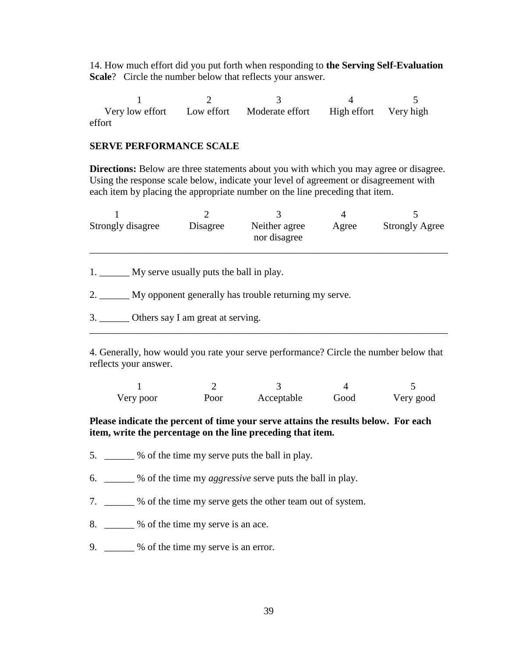14. How much effort did you put forth when responding to **the Serving Self-Evaluation Scale**? Circle the number below that reflects your answer.

1 2 3 4 5 Very low effort Low effort Moderate effort High effort Very high effort

### **SERVE PERFORMANCE SCALE**

**Directions:** Below are three statements about you with which you may agree or disagree. Using the response scale below, indicate your level of agreement or disagreement with each item by placing the appropriate number on the line preceding that item.

| Strongly disagree | Disagree | Neither agree<br>nor disagree | Agree | <b>Strongly Agree</b> |
|-------------------|----------|-------------------------------|-------|-----------------------|
|                   |          |                               |       |                       |

1. \_\_\_\_\_\_\_\_ My serve usually puts the ball in play.

2. \_\_\_\_\_\_ My opponent generally has trouble returning my serve.

3. \_\_\_\_\_\_ Others say I am great at serving.

4. Generally, how would you rate your serve performance? Circle the number below that reflects your answer.

\_\_\_\_\_\_\_\_\_\_\_\_\_\_\_\_\_\_\_\_\_\_\_\_\_\_\_\_\_\_\_\_\_\_\_\_\_\_\_\_\_\_\_\_\_\_\_\_\_\_\_\_\_\_\_\_\_\_\_\_\_\_\_\_\_\_\_\_\_\_\_\_

| Very poor | Poor | Acceptable | Good | Very good |
|-----------|------|------------|------|-----------|

### **Please indicate the percent of time your serve attains the results below. For each item, write the percentage on the line preceding that item.**

- 5. \_\_\_\_\_\_ % of the time my serve puts the ball in play.
- 6. \_\_\_\_\_\_ % of the time my *aggressive* serve puts the ball in play.
- 7. \_\_\_\_\_\_ % of the time my serve gets the other team out of system.
- 8. \_\_\_\_\_\_ % of the time my serve is an ace.
- 9. \_\_\_\_\_\_ % of the time my serve is an error.